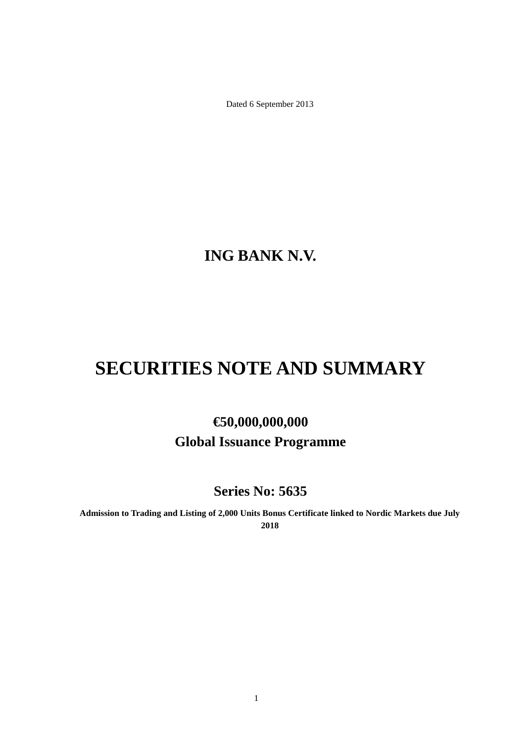Dated 6 September 2013

**ING BANK N.V.**

# **SECURITIES NOTE AND SUMMARY**

# **€50,000,000,000 Global Issuance Programme**

**Series No: 5635**

**Admission to Trading and Listing of 2,000 Units Bonus Certificate linked to Nordic Markets due July 2018**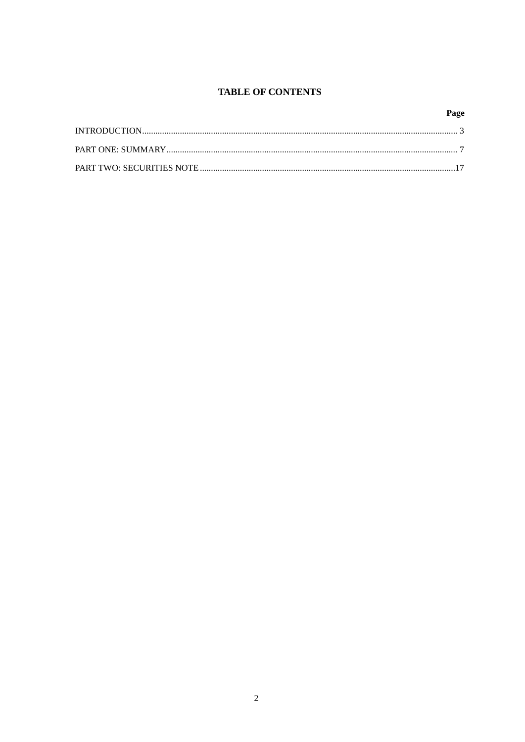# **TABLE OF CONTENTS**

# Page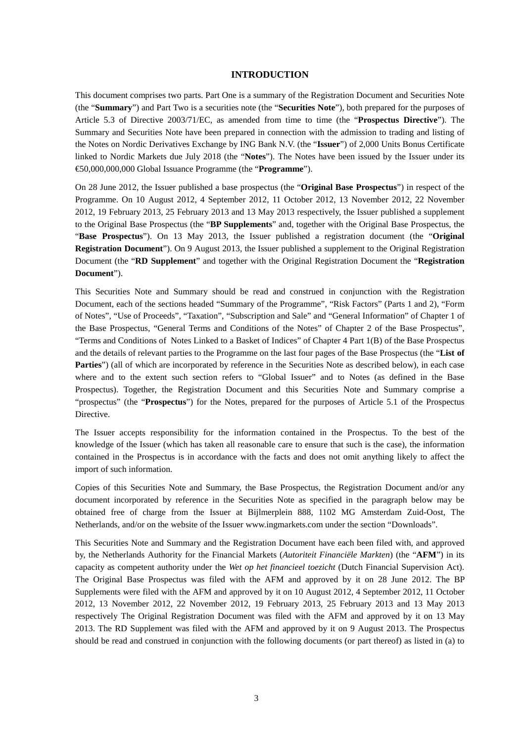#### **INTRODUCTION**

This document comprises two parts. Part One is a summary of the Registration Document and Securities Note (the "**Summary**") and Part Two is a securities note (the "**Securities Note**"), both prepared for the purposes of Article 5.3 of Directive 2003/71/EC, as amended from time to time (the "**Prospectus Directive**"). The Summary and Securities Note have been prepared in connection with the admission to trading and listing of the Notes on Nordic Derivatives Exchange by ING Bank N.V. (the "**Issuer**") of 2,000 Units Bonus Certificate linked to Nordic Markets due July 2018 (the "**Notes**"). The Notes have been issued by the Issuer under its €50,000,000,000 Global Issuance Programme (the "**Programme**").

On 28 June 2012, the Issuer published a base prospectus (the "**Original Base Prospectus**") in respect of the Programme. On 10 August 2012, 4 September 2012, 11 October 2012, 13 November 2012, 22 November 2012, 19 February 2013, 25 February 2013 and 13 May 2013 respectively, the Issuer published a supplement to the Original Base Prospectus (the "**BP Supplements**" and, together with the Original Base Prospectus, the "**Base Prospectus**"). On 13 May 2013, the Issuer published a registration document (the "**Original Registration Document**"). On 9 August 2013, the Issuer published a supplement to the Original Registration Document (the "**RD Supplement**" and together with the Original Registration Document the "**Registration Document**").

This Securities Note and Summary should be read and construed in conjunction with the Registration Document, each of the sections headed "Summary of the Programme", "Risk Factors" (Parts 1 and 2), "Form of Notes", "Use of Proceeds", "Taxation", "Subscription and Sale" and "General Information" of Chapter 1 of the Base Prospectus, "General Terms and Conditions of the Notes" of Chapter 2 of the Base Prospectus", "Terms and Conditions of Notes Linked to a Basket of Indices" of Chapter 4 Part 1(B) of the Base Prospectus and the details of relevant parties to the Programme on the last four pages of the Base Prospectus (the "**List of Parties**") (all of which are incorporated by reference in the Securities Note as described below), in each case where and to the extent such section refers to "Global Issuer" and to Notes (as defined in the Base Prospectus). Together, the Registration Document and this Securities Note and Summary comprise a "prospectus" (the "**Prospectus**") for the Notes, prepared for the purposes of Article 5.1 of the Prospectus Directive.

The Issuer accepts responsibility for the information contained in the Prospectus. To the best of the knowledge of the Issuer (which has taken all reasonable care to ensure that such is the case), the information contained in the Prospectus is in accordance with the facts and does not omit anything likely to affect the import of such information.

Copies of this Securities Note and Summary, the Base Prospectus, the Registration Document and/or any document incorporated by reference in the Securities Note as specified in the paragraph below may be obtained free of charge from the Issuer at Bijlmerplein 888, 1102 MG Amsterdam Zuid-Oost, The Netherlands, and/or on the website of the Issuer www.ingmarkets.com under the section "Downloads".

This Securities Note and Summary and the Registration Document have each been filed with, and approved by, the Netherlands Authority for the Financial Markets (*Autoriteit Financiële Markten*) (the "**AFM**") in its capacity as competent authority under the *Wet op het financieel toezicht* (Dutch Financial Supervision Act). The Original Base Prospectus was filed with the AFM and approved by it on 28 June 2012. The BP Supplements were filed with the AFM and approved by it on 10 August 2012, 4 September 2012, 11 October 2012, 13 November 2012, 22 November 2012, 19 February 2013, 25 February 2013 and 13 May 2013 respectively The Original Registration Document was filed with the AFM and approved by it on 13 May 2013. The RD Supplement was filed with the AFM and approved by it on 9 August 2013. The Prospectus should be read and construed in conjunction with the following documents (or part thereof) as listed in (a) to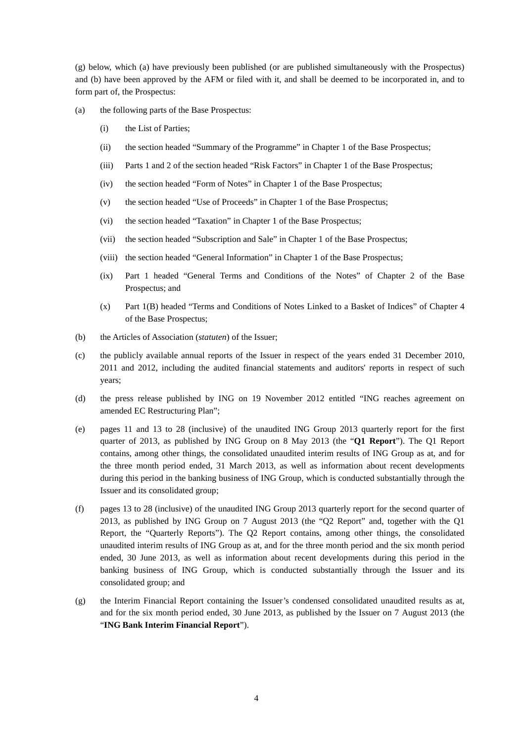(g) below, which (a) have previously been published (or are published simultaneously with the Prospectus) and (b) have been approved by the AFM or filed with it, and shall be deemed to be incorporated in, and to form part of, the Prospectus:

- (a) the following parts of the Base Prospectus:
	- (i) the List of Parties;
	- (ii) the section headed "Summary of the Programme" in Chapter 1 of the Base Prospectus;
	- (iii) Parts 1 and 2 of the section headed "Risk Factors" in Chapter 1 of the Base Prospectus;
	- (iv) the section headed "Form of Notes" in Chapter 1 of the Base Prospectus;
	- (v) the section headed "Use of Proceeds" in Chapter 1 of the Base Prospectus;
	- (vi) the section headed "Taxation" in Chapter 1 of the Base Prospectus;
	- (vii) the section headed "Subscription and Sale" in Chapter 1 of the Base Prospectus;
	- (viii) the section headed "General Information" in Chapter 1 of the Base Prospectus;
	- (ix) Part 1 headed "General Terms and Conditions of the Notes" of Chapter 2 of the Base Prospectus; and
	- (x) Part 1(B) headed "Terms and Conditions of Notes Linked to a Basket of Indices" of Chapter 4 of the Base Prospectus;
- (b) the Articles of Association (*statuten*) of the Issuer;
- (c) the publicly available annual reports of the Issuer in respect of the years ended 31 December 2010, 2011 and 2012, including the audited financial statements and auditors' reports in respect of such years;
- (d) the press release published by ING on 19 November 2012 entitled "ING reaches agreement on amended EC Restructuring Plan";
- (e) pages 11 and 13 to 28 (inclusive) of the unaudited ING Group 2013 quarterly report for the first quarter of 2013, as published by ING Group on 8 May 2013 (the "**Q1 Report**"). The Q1 Report contains, among other things, the consolidated unaudited interim results of ING Group as at, and for the three month period ended, 31 March 2013, as well as information about recent developments during this period in the banking business of ING Group, which is conducted substantially through the Issuer and its consolidated group;
- (f) pages 13 to 28 (inclusive) of the unaudited ING Group 2013 quarterly report for the second quarter of 2013, as published by ING Group on 7 August 2013 (the "Q2 Report" and, together with the Q1 Report, the "Quarterly Reports"). The Q2 Report contains, among other things, the consolidated unaudited interim results of ING Group as at, and for the three month period and the six month period ended, 30 June 2013, as well as information about recent developments during this period in the banking business of ING Group, which is conducted substantially through the Issuer and its consolidated group; and
- (g) the Interim Financial Report containing the Issuer's condensed consolidated unaudited results as at, and for the six month period ended, 30 June 2013, as published by the Issuer on 7 August 2013 (the "**ING Bank Interim Financial Report**").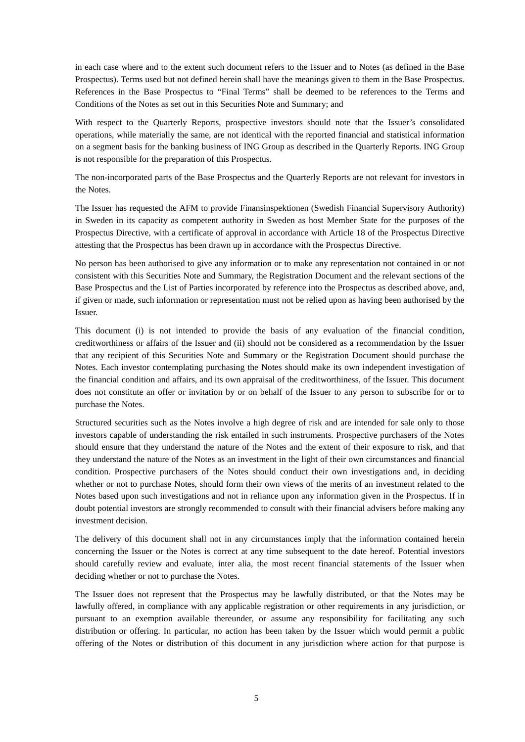in each case where and to the extent such document refers to the Issuer and to Notes (as defined in the Base Prospectus). Terms used but not defined herein shall have the meanings given to them in the Base Prospectus. References in the Base Prospectus to "Final Terms" shall be deemed to be references to the Terms and Conditions of the Notes as set out in this Securities Note and Summary; and

With respect to the Quarterly Reports, prospective investors should note that the Issuer's consolidated operations, while materially the same, are not identical with the reported financial and statistical information on a segment basis for the banking business of ING Group as described in the Quarterly Reports. ING Group is not responsible for the preparation of this Prospectus.

The non-incorporated parts of the Base Prospectus and the Quarterly Reports are not relevant for investors in the Notes.

The Issuer has requested the AFM to provide Finansinspektionen (Swedish Financial Supervisory Authority) in Sweden in its capacity as competent authority in Sweden as host Member State for the purposes of the Prospectus Directive, with a certificate of approval in accordance with Article 18 of the Prospectus Directive attesting that the Prospectus has been drawn up in accordance with the Prospectus Directive.

No person has been authorised to give any information or to make any representation not contained in or not consistent with this Securities Note and Summary, the Registration Document and the relevant sections of the Base Prospectus and the List of Parties incorporated by reference into the Prospectus as described above, and, if given or made, such information or representation must not be relied upon as having been authorised by the Issuer.

This document (i) is not intended to provide the basis of any evaluation of the financial condition, creditworthiness or affairs of the Issuer and (ii) should not be considered as a recommendation by the Issuer that any recipient of this Securities Note and Summary or the Registration Document should purchase the Notes. Each investor contemplating purchasing the Notes should make its own independent investigation of the financial condition and affairs, and its own appraisal of the creditworthiness, of the Issuer. This document does not constitute an offer or invitation by or on behalf of the Issuer to any person to subscribe for or to purchase the Notes.

Structured securities such as the Notes involve a high degree of risk and are intended for sale only to those investors capable of understanding the risk entailed in such instruments. Prospective purchasers of the Notes should ensure that they understand the nature of the Notes and the extent of their exposure to risk, and that they understand the nature of the Notes as an investment in the light of their own circumstances and financial condition. Prospective purchasers of the Notes should conduct their own investigations and, in deciding whether or not to purchase Notes, should form their own views of the merits of an investment related to the Notes based upon such investigations and not in reliance upon any information given in the Prospectus. If in doubt potential investors are strongly recommended to consult with their financial advisers before making any investment decision.

The delivery of this document shall not in any circumstances imply that the information contained herein concerning the Issuer or the Notes is correct at any time subsequent to the date hereof. Potential investors should carefully review and evaluate, inter alia, the most recent financial statements of the Issuer when deciding whether or not to purchase the Notes.

The Issuer does not represent that the Prospectus may be lawfully distributed, or that the Notes may be lawfully offered, in compliance with any applicable registration or other requirements in any jurisdiction, or pursuant to an exemption available thereunder, or assume any responsibility for facilitating any such distribution or offering. In particular, no action has been taken by the Issuer which would permit a public offering of the Notes or distribution of this document in any jurisdiction where action for that purpose is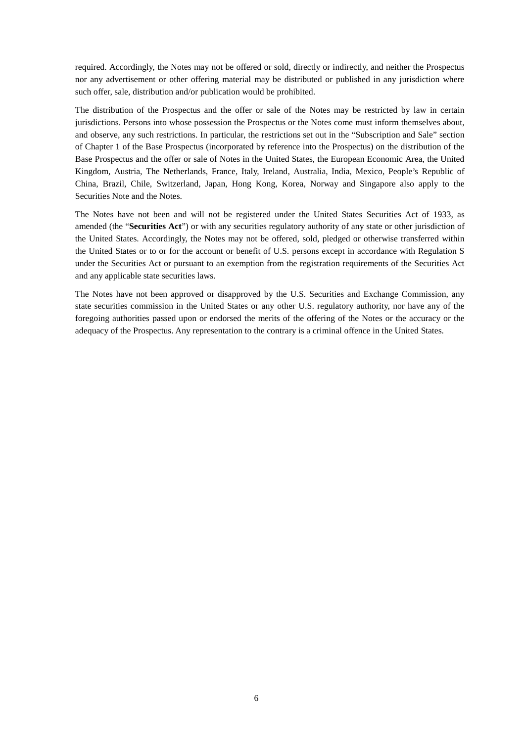required. Accordingly, the Notes may not be offered or sold, directly or indirectly, and neither the Prospectus nor any advertisement or other offering material may be distributed or published in any jurisdiction where such offer, sale, distribution and/or publication would be prohibited.

The distribution of the Prospectus and the offer or sale of the Notes may be restricted by law in certain jurisdictions. Persons into whose possession the Prospectus or the Notes come must inform themselves about, and observe, any such restrictions. In particular, the restrictions set out in the "Subscription and Sale" section of Chapter 1 of the Base Prospectus (incorporated by reference into the Prospectus) on the distribution of the Base Prospectus and the offer or sale of Notes in the United States, the European Economic Area, the United Kingdom, Austria, The Netherlands, France, Italy, Ireland, Australia, India, Mexico, People's Republic of China, Brazil, Chile, Switzerland, Japan, Hong Kong, Korea, Norway and Singapore also apply to the Securities Note and the Notes.

The Notes have not been and will not be registered under the United States Securities Act of 1933, as amended (the "**Securities Act**") or with any securities regulatory authority of any state or other jurisdiction of the United States. Accordingly, the Notes may not be offered, sold, pledged or otherwise transferred within the United States or to or for the account or benefit of U.S. persons except in accordance with Regulation S under the Securities Act or pursuant to an exemption from the registration requirements of the Securities Act and any applicable state securities laws.

The Notes have not been approved or disapproved by the U.S. Securities and Exchange Commission, any state securities commission in the United States or any other U.S. regulatory authority, nor have any of the foregoing authorities passed upon or endorsed the merits of the offering of the Notes or the accuracy or the adequacy of the Prospectus. Any representation to the contrary is a criminal offence in the United States.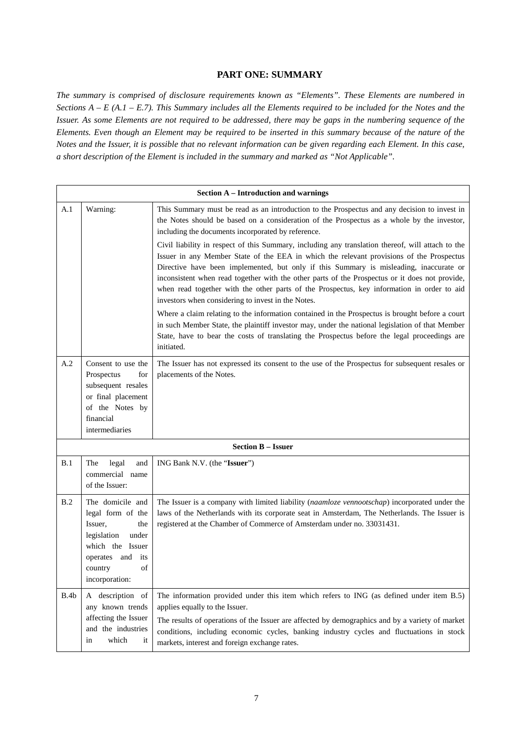# **PART ONE: SUMMARY**

*The summary is comprised of disclosure requirements known as "Elements". These Elements are numbered in Sections A – E (A.1 – E.7). This Summary includes all the Elements required to be included for the Notes and the Issuer. As some Elements are not required to be addressed, there may be gaps in the numbering sequence of the Elements. Even though an Element may be required to be inserted in this summary because of the nature of the Notes and the Issuer, it is possible that no relevant information can be given regarding each Element. In this case, a short description of the Element is included in the summary and marked as "Not Applicable".*

|      | <b>Section A - Introduction and warnings</b>                                                                                                               |                                                                                                                                                                                                                                                                                                                                                                                                                                                                                                                                               |  |  |
|------|------------------------------------------------------------------------------------------------------------------------------------------------------------|-----------------------------------------------------------------------------------------------------------------------------------------------------------------------------------------------------------------------------------------------------------------------------------------------------------------------------------------------------------------------------------------------------------------------------------------------------------------------------------------------------------------------------------------------|--|--|
| A.1  | Warning:                                                                                                                                                   | This Summary must be read as an introduction to the Prospectus and any decision to invest in<br>the Notes should be based on a consideration of the Prospectus as a whole by the investor,<br>including the documents incorporated by reference.                                                                                                                                                                                                                                                                                              |  |  |
|      |                                                                                                                                                            | Civil liability in respect of this Summary, including any translation thereof, will attach to the<br>Issuer in any Member State of the EEA in which the relevant provisions of the Prospectus<br>Directive have been implemented, but only if this Summary is misleading, inaccurate or<br>inconsistent when read together with the other parts of the Prospectus or it does not provide,<br>when read together with the other parts of the Prospectus, key information in order to aid<br>investors when considering to invest in the Notes. |  |  |
|      |                                                                                                                                                            | Where a claim relating to the information contained in the Prospectus is brought before a court<br>in such Member State, the plaintiff investor may, under the national legislation of that Member<br>State, have to bear the costs of translating the Prospectus before the legal proceedings are<br>initiated.                                                                                                                                                                                                                              |  |  |
| A.2  | Consent to use the<br>Prospectus<br>for<br>subsequent resales<br>or final placement<br>of the Notes by<br>financial<br>intermediaries                      | The Issuer has not expressed its consent to the use of the Prospectus for subsequent resales or<br>placements of the Notes.                                                                                                                                                                                                                                                                                                                                                                                                                   |  |  |
|      | <b>Section B - Issuer</b>                                                                                                                                  |                                                                                                                                                                                                                                                                                                                                                                                                                                                                                                                                               |  |  |
| B.1  | The<br>legal<br>and<br>commercial name<br>of the Issuer:                                                                                                   | ING Bank N.V. (the "Issuer")                                                                                                                                                                                                                                                                                                                                                                                                                                                                                                                  |  |  |
| B.2  | The domicile and<br>legal form of the<br>Issuer,<br>the<br>under<br>legislation<br>which the Issuer<br>operates and its<br>country<br>of<br>incorporation: | The Issuer is a company with limited liability (naamloze vennootschap) incorporated under the<br>laws of the Netherlands with its corporate seat in Amsterdam, The Netherlands. The Issuer is<br>registered at the Chamber of Commerce of Amsterdam under no. 33031431.                                                                                                                                                                                                                                                                       |  |  |
| B.4b | A description of<br>any known trends<br>affecting the Issuer<br>and the industries<br>which<br>in<br>it                                                    | The information provided under this item which refers to ING (as defined under item B.5)<br>applies equally to the Issuer.<br>The results of operations of the Issuer are affected by demographics and by a variety of market<br>conditions, including economic cycles, banking industry cycles and fluctuations in stock<br>markets, interest and foreign exchange rates.                                                                                                                                                                    |  |  |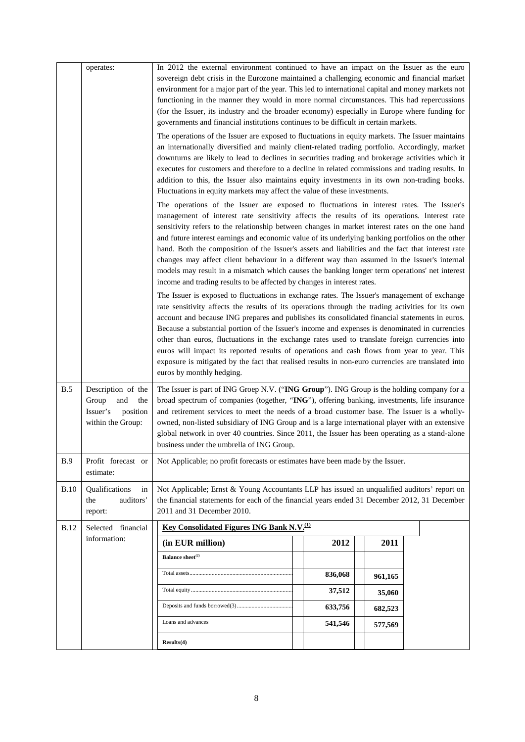|             | operates:                                                                              | In 2012 the external environment continued to have an impact on the Issuer as the euro<br>sovereign debt crisis in the Eurozone maintained a challenging economic and financial market<br>environment for a major part of the year. This led to international capital and money markets not<br>functioning in the manner they would in more normal circumstances. This had repercussions<br>(for the Issuer, its industry and the broader economy) especially in Europe where funding for<br>governments and financial institutions continues to be difficult in certain markets.                                                                                                                                                                                                 |  |         |         |  |
|-------------|----------------------------------------------------------------------------------------|-----------------------------------------------------------------------------------------------------------------------------------------------------------------------------------------------------------------------------------------------------------------------------------------------------------------------------------------------------------------------------------------------------------------------------------------------------------------------------------------------------------------------------------------------------------------------------------------------------------------------------------------------------------------------------------------------------------------------------------------------------------------------------------|--|---------|---------|--|
|             |                                                                                        | The operations of the Issuer are exposed to fluctuations in equity markets. The Issuer maintains<br>an internationally diversified and mainly client-related trading portfolio. Accordingly, market<br>downturns are likely to lead to declines in securities trading and brokerage activities which it<br>executes for customers and therefore to a decline in related commissions and trading results. In                                                                                                                                                                                                                                                                                                                                                                       |  |         |         |  |
|             |                                                                                        | addition to this, the Issuer also maintains equity investments in its own non-trading books.<br>Fluctuations in equity markets may affect the value of these investments.                                                                                                                                                                                                                                                                                                                                                                                                                                                                                                                                                                                                         |  |         |         |  |
|             |                                                                                        | The operations of the Issuer are exposed to fluctuations in interest rates. The Issuer's<br>management of interest rate sensitivity affects the results of its operations. Interest rate<br>sensitivity refers to the relationship between changes in market interest rates on the one hand<br>and future interest earnings and economic value of its underlying banking portfolios on the other<br>hand. Both the composition of the Issuer's assets and liabilities and the fact that interest rate<br>changes may affect client behaviour in a different way than assumed in the Issuer's internal<br>models may result in a mismatch which causes the banking longer term operations' net interest<br>income and trading results to be affected by changes in interest rates. |  |         |         |  |
|             |                                                                                        | The Issuer is exposed to fluctuations in exchange rates. The Issuer's management of exchange<br>rate sensitivity affects the results of its operations through the trading activities for its own<br>account and because ING prepares and publishes its consolidated financial statements in euros.<br>Because a substantial portion of the Issuer's income and expenses is denominated in currencies<br>other than euros, fluctuations in the exchange rates used to translate foreign currencies into<br>euros will impact its reported results of operations and cash flows from year to year. This<br>exposure is mitigated by the fact that realised results in non-euro currencies are translated into<br>euros by monthly hedging.                                         |  |         |         |  |
| B.5         | Description of the<br>Group<br>and<br>the<br>Issuer's<br>position<br>within the Group: | The Issuer is part of ING Groep N.V. ("ING Group"). ING Group is the holding company for a<br>broad spectrum of companies (together, "ING"), offering banking, investments, life insurance<br>and retirement services to meet the needs of a broad customer base. The Issuer is a wholly-<br>owned, non-listed subsidiary of ING Group and is a large international player with an extensive<br>global network in over 40 countries. Since 2011, the Issuer has been operating as a stand-alone<br>business under the umbrella of ING Group.                                                                                                                                                                                                                                      |  |         |         |  |
| B.9         | Profit forecast or<br>estimate:                                                        | Not Applicable; no profit forecasts or estimates have been made by the Issuer.                                                                                                                                                                                                                                                                                                                                                                                                                                                                                                                                                                                                                                                                                                    |  |         |         |  |
| B.10        | Qualifications<br>in<br>auditors'<br>the<br>report:                                    | Not Applicable; Ernst & Young Accountants LLP has issued an unqualified auditors' report on<br>the financial statements for each of the financial years ended 31 December 2012, 31 December<br>2011 and 31 December 2010.                                                                                                                                                                                                                                                                                                                                                                                                                                                                                                                                                         |  |         |         |  |
| <b>B.12</b> | Selected financial                                                                     | <b>Key Consolidated Figures ING Bank N.V.</b> <sup>(1)</sup>                                                                                                                                                                                                                                                                                                                                                                                                                                                                                                                                                                                                                                                                                                                      |  |         |         |  |
|             | information:                                                                           | (in EUR million)                                                                                                                                                                                                                                                                                                                                                                                                                                                                                                                                                                                                                                                                                                                                                                  |  | 2012    | 2011    |  |
|             |                                                                                        | Balance sheet $^{(2)}$                                                                                                                                                                                                                                                                                                                                                                                                                                                                                                                                                                                                                                                                                                                                                            |  |         |         |  |
|             |                                                                                        |                                                                                                                                                                                                                                                                                                                                                                                                                                                                                                                                                                                                                                                                                                                                                                                   |  | 836,068 | 961,165 |  |
|             |                                                                                        |                                                                                                                                                                                                                                                                                                                                                                                                                                                                                                                                                                                                                                                                                                                                                                                   |  | 37,512  | 35,060  |  |
|             |                                                                                        |                                                                                                                                                                                                                                                                                                                                                                                                                                                                                                                                                                                                                                                                                                                                                                                   |  | 633,756 | 682,523 |  |
|             |                                                                                        | Loans and advances                                                                                                                                                                                                                                                                                                                                                                                                                                                                                                                                                                                                                                                                                                                                                                |  | 541,546 | 577,569 |  |
|             |                                                                                        | Results(4)                                                                                                                                                                                                                                                                                                                                                                                                                                                                                                                                                                                                                                                                                                                                                                        |  |         |         |  |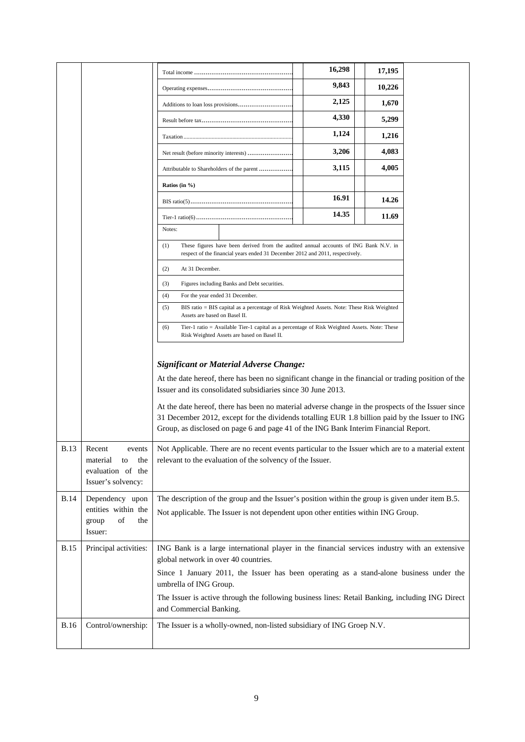|             |                                                                                      |                                                                                                                                                                                                                                                                                                                                                                                                                                                                                                                       | 16,298 | 17,195 |  |
|-------------|--------------------------------------------------------------------------------------|-----------------------------------------------------------------------------------------------------------------------------------------------------------------------------------------------------------------------------------------------------------------------------------------------------------------------------------------------------------------------------------------------------------------------------------------------------------------------------------------------------------------------|--------|--------|--|
|             |                                                                                      |                                                                                                                                                                                                                                                                                                                                                                                                                                                                                                                       | 9,843  | 10,226 |  |
|             |                                                                                      |                                                                                                                                                                                                                                                                                                                                                                                                                                                                                                                       | 2,125  | 1,670  |  |
|             |                                                                                      |                                                                                                                                                                                                                                                                                                                                                                                                                                                                                                                       | 4,330  | 5,299  |  |
|             |                                                                                      | Taxation                                                                                                                                                                                                                                                                                                                                                                                                                                                                                                              | 1,124  | 1,216  |  |
|             |                                                                                      | Net result (before minority interests)                                                                                                                                                                                                                                                                                                                                                                                                                                                                                | 3,206  | 4,083  |  |
|             |                                                                                      | Attributable to Shareholders of the parent                                                                                                                                                                                                                                                                                                                                                                                                                                                                            | 3,115  | 4,005  |  |
|             |                                                                                      | Ratios (in $\%$ )                                                                                                                                                                                                                                                                                                                                                                                                                                                                                                     |        |        |  |
|             |                                                                                      |                                                                                                                                                                                                                                                                                                                                                                                                                                                                                                                       | 16.91  | 14.26  |  |
|             |                                                                                      |                                                                                                                                                                                                                                                                                                                                                                                                                                                                                                                       | 14.35  | 11.69  |  |
|             |                                                                                      | Notes:                                                                                                                                                                                                                                                                                                                                                                                                                                                                                                                |        |        |  |
|             |                                                                                      | (1)<br>These figures have been derived from the audited annual accounts of ING Bank N.V. in<br>respect of the financial years ended 31 December 2012 and 2011, respectively.                                                                                                                                                                                                                                                                                                                                          |        |        |  |
|             |                                                                                      | At 31 December.<br>(2)                                                                                                                                                                                                                                                                                                                                                                                                                                                                                                |        |        |  |
|             |                                                                                      | (3)<br>Figures including Banks and Debt securities.                                                                                                                                                                                                                                                                                                                                                                                                                                                                   |        |        |  |
|             |                                                                                      | (4)<br>For the year ended 31 December.                                                                                                                                                                                                                                                                                                                                                                                                                                                                                |        |        |  |
|             |                                                                                      | (5)<br>BIS ratio = BIS capital as a percentage of Risk Weighted Assets. Note: These Risk Weighted<br>Assets are based on Basel II.                                                                                                                                                                                                                                                                                                                                                                                    |        |        |  |
|             |                                                                                      | (6)<br>Tier-1 ratio = Available Tier-1 capital as a percentage of Risk Weighted Assets. Note: These<br>Risk Weighted Assets are based on Basel II.                                                                                                                                                                                                                                                                                                                                                                    |        |        |  |
|             |                                                                                      | <b>Significant or Material Adverse Change:</b><br>At the date hereof, there has been no significant change in the financial or trading position of the<br>Issuer and its consolidated subsidiaries since 30 June 2013.<br>At the date hereof, there has been no material adverse change in the prospects of the Issuer since<br>31 December 2012, except for the dividends totalling EUR 1.8 billion paid by the Issuer to ING<br>Group, as disclosed on page 6 and page 41 of the ING Bank Interim Financial Report. |        |        |  |
| <b>B.13</b> | Recent<br>events<br>material<br>to<br>the<br>evaluation of the<br>Issuer's solvency: | Not Applicable. There are no recent events particular to the Issuer which are to a material extent<br>relevant to the evaluation of the solvency of the Issuer.                                                                                                                                                                                                                                                                                                                                                       |        |        |  |
| <b>B.14</b> | Dependency upon                                                                      | The description of the group and the Issuer's position within the group is given under item B.5.                                                                                                                                                                                                                                                                                                                                                                                                                      |        |        |  |
|             | entities within the<br>of<br>group<br>the<br>Issuer:                                 | Not applicable. The Issuer is not dependent upon other entities within ING Group.                                                                                                                                                                                                                                                                                                                                                                                                                                     |        |        |  |
| <b>B.15</b> | Principal activities:                                                                | ING Bank is a large international player in the financial services industry with an extensive                                                                                                                                                                                                                                                                                                                                                                                                                         |        |        |  |
|             |                                                                                      | global network in over 40 countries.<br>Since 1 January 2011, the Issuer has been operating as a stand-alone business under the                                                                                                                                                                                                                                                                                                                                                                                       |        |        |  |
|             |                                                                                      | umbrella of ING Group.                                                                                                                                                                                                                                                                                                                                                                                                                                                                                                |        |        |  |
|             |                                                                                      | The Issuer is active through the following business lines: Retail Banking, including ING Direct<br>and Commercial Banking.                                                                                                                                                                                                                                                                                                                                                                                            |        |        |  |
| <b>B.16</b> | Control/ownership:                                                                   | The Issuer is a wholly-owned, non-listed subsidiary of ING Groep N.V.                                                                                                                                                                                                                                                                                                                                                                                                                                                 |        |        |  |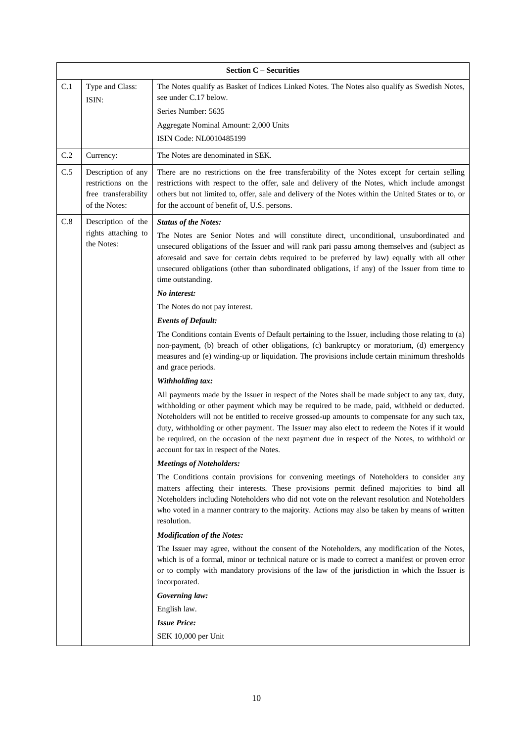|                                   | <b>Section C - Securities</b>                                                      |                                                                                                                                                                                                                                                                                                                                                                                                                                                                                                                                              |  |  |
|-----------------------------------|------------------------------------------------------------------------------------|----------------------------------------------------------------------------------------------------------------------------------------------------------------------------------------------------------------------------------------------------------------------------------------------------------------------------------------------------------------------------------------------------------------------------------------------------------------------------------------------------------------------------------------------|--|--|
| C.1                               | Type and Class:<br>ISIN:                                                           | The Notes qualify as Basket of Indices Linked Notes. The Notes also qualify as Swedish Notes,<br>see under C.17 below.<br>Series Number: 5635                                                                                                                                                                                                                                                                                                                                                                                                |  |  |
|                                   |                                                                                    | Aggregate Nominal Amount: 2,000 Units                                                                                                                                                                                                                                                                                                                                                                                                                                                                                                        |  |  |
|                                   |                                                                                    | ISIN Code: NL0010485199                                                                                                                                                                                                                                                                                                                                                                                                                                                                                                                      |  |  |
| C.2                               | Currency:                                                                          | The Notes are denominated in SEK.                                                                                                                                                                                                                                                                                                                                                                                                                                                                                                            |  |  |
| C.5                               | Description of any<br>restrictions on the<br>free transferability<br>of the Notes: | There are no restrictions on the free transferability of the Notes except for certain selling<br>restrictions with respect to the offer, sale and delivery of the Notes, which include amongst<br>others but not limited to, offer, sale and delivery of the Notes within the United States or to, or<br>for the account of benefit of, U.S. persons.                                                                                                                                                                                        |  |  |
| $\rm C.8$                         | Description of the                                                                 | <b>Status of the Notes:</b>                                                                                                                                                                                                                                                                                                                                                                                                                                                                                                                  |  |  |
| rights attaching to<br>the Notes: |                                                                                    | The Notes are Senior Notes and will constitute direct, unconditional, unsubordinated and<br>unsecured obligations of the Issuer and will rank pari passu among themselves and (subject as<br>aforesaid and save for certain debts required to be preferred by law) equally with all other<br>unsecured obligations (other than subordinated obligations, if any) of the Issuer from time to<br>time outstanding.                                                                                                                             |  |  |
|                                   |                                                                                    | No interest:                                                                                                                                                                                                                                                                                                                                                                                                                                                                                                                                 |  |  |
|                                   |                                                                                    | The Notes do not pay interest.                                                                                                                                                                                                                                                                                                                                                                                                                                                                                                               |  |  |
|                                   |                                                                                    | <b>Events of Default:</b>                                                                                                                                                                                                                                                                                                                                                                                                                                                                                                                    |  |  |
|                                   |                                                                                    | The Conditions contain Events of Default pertaining to the Issuer, including those relating to (a)<br>non-payment, (b) breach of other obligations, (c) bankruptcy or moratorium, (d) emergency<br>measures and (e) winding-up or liquidation. The provisions include certain minimum thresholds<br>and grace periods.                                                                                                                                                                                                                       |  |  |
|                                   |                                                                                    | Withholding tax:                                                                                                                                                                                                                                                                                                                                                                                                                                                                                                                             |  |  |
|                                   |                                                                                    | All payments made by the Issuer in respect of the Notes shall be made subject to any tax, duty,<br>withholding or other payment which may be required to be made, paid, withheld or deducted.<br>Noteholders will not be entitled to receive grossed-up amounts to compensate for any such tax,<br>duty, withholding or other payment. The Issuer may also elect to redeem the Notes if it would<br>be required, on the occasion of the next payment due in respect of the Notes, to withhold or<br>account for tax in respect of the Notes. |  |  |
|                                   |                                                                                    | <b>Meetings of Noteholders:</b>                                                                                                                                                                                                                                                                                                                                                                                                                                                                                                              |  |  |
|                                   |                                                                                    | The Conditions contain provisions for convening meetings of Noteholders to consider any<br>matters affecting their interests. These provisions permit defined majorities to bind all<br>Noteholders including Noteholders who did not vote on the relevant resolution and Noteholders<br>who voted in a manner contrary to the majority. Actions may also be taken by means of written<br>resolution.                                                                                                                                        |  |  |
|                                   |                                                                                    | <b>Modification of the Notes:</b>                                                                                                                                                                                                                                                                                                                                                                                                                                                                                                            |  |  |
|                                   |                                                                                    | The Issuer may agree, without the consent of the Noteholders, any modification of the Notes,<br>which is of a formal, minor or technical nature or is made to correct a manifest or proven error<br>or to comply with mandatory provisions of the law of the jurisdiction in which the Issuer is<br>incorporated.                                                                                                                                                                                                                            |  |  |
|                                   |                                                                                    | Governing law:                                                                                                                                                                                                                                                                                                                                                                                                                                                                                                                               |  |  |
|                                   |                                                                                    | English law.                                                                                                                                                                                                                                                                                                                                                                                                                                                                                                                                 |  |  |
|                                   |                                                                                    | <b>Issue Price:</b>                                                                                                                                                                                                                                                                                                                                                                                                                                                                                                                          |  |  |
|                                   |                                                                                    | SEK 10,000 per Unit                                                                                                                                                                                                                                                                                                                                                                                                                                                                                                                          |  |  |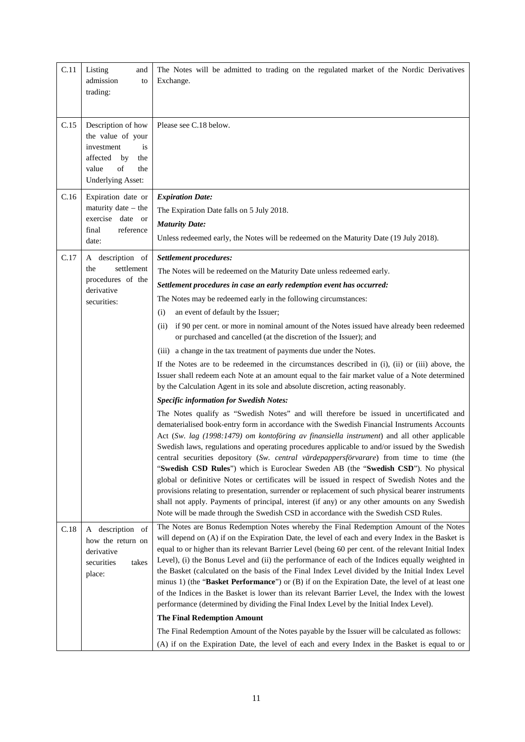| C.11 | Listing<br>and<br>admission<br>to<br>trading:                                                                                                 | The Notes will be admitted to trading on the regulated market of the Nordic Derivatives<br>Exchange.                                                                                                                                                                                                                                                                                                                                                                                                                                                                                                                                                                                                                                                                                                                                                                                                                                                                                                                                                                                                                                                                                                                                                                                                                                                                                                                                                                                                                                                                                                                                                                                                                                                                                                                                                             |
|------|-----------------------------------------------------------------------------------------------------------------------------------------------|------------------------------------------------------------------------------------------------------------------------------------------------------------------------------------------------------------------------------------------------------------------------------------------------------------------------------------------------------------------------------------------------------------------------------------------------------------------------------------------------------------------------------------------------------------------------------------------------------------------------------------------------------------------------------------------------------------------------------------------------------------------------------------------------------------------------------------------------------------------------------------------------------------------------------------------------------------------------------------------------------------------------------------------------------------------------------------------------------------------------------------------------------------------------------------------------------------------------------------------------------------------------------------------------------------------------------------------------------------------------------------------------------------------------------------------------------------------------------------------------------------------------------------------------------------------------------------------------------------------------------------------------------------------------------------------------------------------------------------------------------------------------------------------------------------------------------------------------------------------|
| C.15 | Description of how<br>the value of your<br>investment<br><i>is</i><br>affected<br>by<br>the<br>of<br>value<br>the<br><b>Underlying Asset:</b> | Please see C.18 below.                                                                                                                                                                                                                                                                                                                                                                                                                                                                                                                                                                                                                                                                                                                                                                                                                                                                                                                                                                                                                                                                                                                                                                                                                                                                                                                                                                                                                                                                                                                                                                                                                                                                                                                                                                                                                                           |
| C.16 | Expiration date or<br>maturity date $-$ the<br>exercise date or<br>final<br>reference<br>date:                                                | <b>Expiration Date:</b><br>The Expiration Date falls on 5 July 2018.<br><b>Maturity Date:</b><br>Unless redeemed early, the Notes will be redeemed on the Maturity Date (19 July 2018).                                                                                                                                                                                                                                                                                                                                                                                                                                                                                                                                                                                                                                                                                                                                                                                                                                                                                                                                                                                                                                                                                                                                                                                                                                                                                                                                                                                                                                                                                                                                                                                                                                                                          |
| C.17 | A description of<br>settlement<br>the<br>procedures of the<br>derivative<br>securities:                                                       | Settlement procedures:<br>The Notes will be redeemed on the Maturity Date unless redeemed early.<br>Settlement procedures in case an early redemption event has occurred:<br>The Notes may be redeemed early in the following circumstances:<br>an event of default by the Issuer;<br>(i)<br>if 90 per cent. or more in nominal amount of the Notes issued have already been redeemed<br>(ii)<br>or purchased and cancelled (at the discretion of the Issuer); and<br>(iii) a change in the tax treatment of payments due under the Notes.<br>If the Notes are to be redeemed in the circumstances described in (i), (ii) or (iii) above, the<br>Issuer shall redeem each Note at an amount equal to the fair market value of a Note determined<br>by the Calculation Agent in its sole and absolute discretion, acting reasonably.<br><b>Specific information for Swedish Notes:</b><br>The Notes qualify as "Swedish Notes" and will therefore be issued in uncertificated and<br>dematerialised book-entry form in accordance with the Swedish Financial Instruments Accounts<br>Act (Sw. lag (1998:1479) om kontoföring av finansiella instrument) and all other applicable<br>Swedish laws, regulations and operating procedures applicable to and/or issued by the Swedish<br>central securities depository (Sw. central värdepappersförvarare) from time to time (the<br>"Swedish CSD Rules") which is Euroclear Sweden AB (the "Swedish CSD"). No physical<br>global or definitive Notes or certificates will be issued in respect of Swedish Notes and the<br>provisions relating to presentation, surrender or replacement of such physical bearer instruments<br>shall not apply. Payments of principal, interest (if any) or any other amounts on any Swedish<br>Note will be made through the Swedish CSD in accordance with the Swedish CSD Rules. |
| C.18 | A description of<br>how the return on<br>derivative<br>securities<br>takes<br>place:                                                          | The Notes are Bonus Redemption Notes whereby the Final Redemption Amount of the Notes<br>will depend on (A) if on the Expiration Date, the level of each and every Index in the Basket is<br>equal to or higher than its relevant Barrier Level (being 60 per cent. of the relevant Initial Index<br>Level), (i) the Bonus Level and (ii) the performance of each of the Indices equally weighted in<br>the Basket (calculated on the basis of the Final Index Level divided by the Initial Index Level<br>minus 1) (the "Basket Performance") or $(B)$ if on the Expiration Date, the level of at least one<br>of the Indices in the Basket is lower than its relevant Barrier Level, the Index with the lowest<br>performance (determined by dividing the Final Index Level by the Initial Index Level).<br><b>The Final Redemption Amount</b><br>The Final Redemption Amount of the Notes payable by the Issuer will be calculated as follows:<br>(A) if on the Expiration Date, the level of each and every Index in the Basket is equal to or                                                                                                                                                                                                                                                                                                                                                                                                                                                                                                                                                                                                                                                                                                                                                                                                               |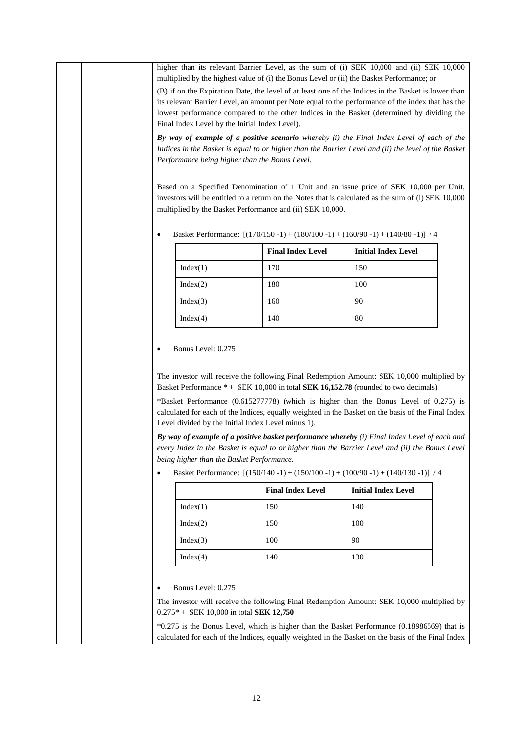higher than its relevant Barrier Level, as the sum of (i) SEK 10,000 and (ii) SEK 10,000 multiplied by the highest value of (i) the Bonus Level or (ii) the Basket Performance; or

(B) if on the Expiration Date, the level of at least one of the Indices in the Basket is lower than its relevant Barrier Level, an amount per Note equal to the performance of the index that has the lowest performance compared to the other Indices in the Basket (determined by dividing the Final Index Level by the Initial Index Level).

*By way of example of a positive scenario whereby (i) the Final Index Level of each of the Indices in the Basket is equal to or higher than the Barrier Level and (ii) the level of the Basket Performance being higher than the Bonus Level.*

Based on a Specified Denomination of 1 Unit and an issue price of SEK 10,000 per Unit, investors will be entitled to a return on the Notes that is calculated as the sum of (i) SEK 10,000 multiplied by the Basket Performance and (ii) SEK 10,000.

|          | <b>Final Index Level</b> | <b>Initial Index Level</b> |
|----------|--------------------------|----------------------------|
| Index(1) | 170                      | 150                        |
| Index(2) | 180                      | 100                        |
| Index(3) | 160                      | 90                         |
| Index(4) | 140                      | 80                         |

• Basket Performance: [(170/150 -1) + (180/100 -1) + (160/90 -1) + (140/80 -1)] / 4

#### • Bonus Level: 0.275

The investor will receive the following Final Redemption Amount: SEK 10,000 multiplied by Basket Performance \* + SEK 10,000 in total **SEK 16,152.78** (rounded to two decimals)

\*Basket Performance (0.615277778) (which is higher than the Bonus Level of 0.275) is calculated for each of the Indices, equally weighted in the Basket on the basis of the Final Index Level divided by the Initial Index Level minus 1).

*By way of example of a positive basket performance whereby (i) Final Index Level of each and every Index in the Basket is equal to or higher than the Barrier Level and (ii) the Bonus Level being higher than the Basket Performance.*

|  | Basket Performance: $[(150/140 - 1) + (150/100 - 1) + (100/90 - 1) + (140/130 - 1)]$ / 4 |  |  |  |  |
|--|------------------------------------------------------------------------------------------|--|--|--|--|
|--|------------------------------------------------------------------------------------------|--|--|--|--|

|          | <b>Final Index Level</b> | <b>Initial Index Level</b> |
|----------|--------------------------|----------------------------|
| Index(1) | 150                      | 140                        |
| Index(2) | 150                      | 100                        |
| Index(3) | 100                      | 90                         |
| Index(4) | 140                      | 130                        |

• Bonus Level: 0.275

The investor will receive the following Final Redemption Amount: SEK 10,000 multiplied by 0.275\* + SEK 10,000 in total **SEK 12,750**

\*0.275 is the Bonus Level, which is higher than the Basket Performance (0.18986569) that is calculated for each of the Indices, equally weighted in the Basket on the basis of the Final Index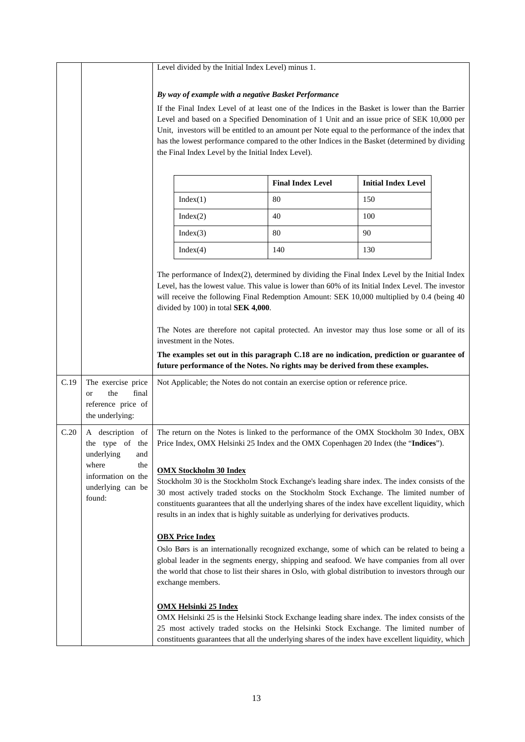|      |                                                                                                                               | Level divided by the Initial Index Level) minus 1.                                                                                                                                                                                                                                                                                                                                                                                                                                                                 |                                                                                                                                                                                                                                                                                                                                                                                                                                                                                                                                                                                                                                                                                                                                                                       |                            |  |
|------|-------------------------------------------------------------------------------------------------------------------------------|--------------------------------------------------------------------------------------------------------------------------------------------------------------------------------------------------------------------------------------------------------------------------------------------------------------------------------------------------------------------------------------------------------------------------------------------------------------------------------------------------------------------|-----------------------------------------------------------------------------------------------------------------------------------------------------------------------------------------------------------------------------------------------------------------------------------------------------------------------------------------------------------------------------------------------------------------------------------------------------------------------------------------------------------------------------------------------------------------------------------------------------------------------------------------------------------------------------------------------------------------------------------------------------------------------|----------------------------|--|
|      |                                                                                                                               | By way of example with a negative Basket Performance<br>If the Final Index Level of at least one of the Indices in the Basket is lower than the Barrier<br>Level and based on a Specified Denomination of 1 Unit and an issue price of SEK 10,000 per<br>Unit, investors will be entitled to an amount per Note equal to the performance of the index that<br>has the lowest performance compared to the other Indices in the Basket (determined by dividing<br>the Final Index Level by the Initial Index Level). |                                                                                                                                                                                                                                                                                                                                                                                                                                                                                                                                                                                                                                                                                                                                                                       |                            |  |
|      |                                                                                                                               |                                                                                                                                                                                                                                                                                                                                                                                                                                                                                                                    | <b>Final Index Level</b>                                                                                                                                                                                                                                                                                                                                                                                                                                                                                                                                                                                                                                                                                                                                              | <b>Initial Index Level</b> |  |
|      |                                                                                                                               | Index(1)                                                                                                                                                                                                                                                                                                                                                                                                                                                                                                           | 80                                                                                                                                                                                                                                                                                                                                                                                                                                                                                                                                                                                                                                                                                                                                                                    | 150                        |  |
|      |                                                                                                                               | Index(2)                                                                                                                                                                                                                                                                                                                                                                                                                                                                                                           | 40                                                                                                                                                                                                                                                                                                                                                                                                                                                                                                                                                                                                                                                                                                                                                                    | 100                        |  |
|      |                                                                                                                               | Index(3)                                                                                                                                                                                                                                                                                                                                                                                                                                                                                                           | 80                                                                                                                                                                                                                                                                                                                                                                                                                                                                                                                                                                                                                                                                                                                                                                    | 90                         |  |
|      |                                                                                                                               | Index(4)                                                                                                                                                                                                                                                                                                                                                                                                                                                                                                           | 140                                                                                                                                                                                                                                                                                                                                                                                                                                                                                                                                                                                                                                                                                                                                                                   | 130                        |  |
| C.19 | The exercise price<br>the<br>final<br><b>or</b>                                                                               | divided by 100) in total SEK 4,000.<br>investment in the Notes.                                                                                                                                                                                                                                                                                                                                                                                                                                                    | The performance of Index(2), determined by dividing the Final Index Level by the Initial Index<br>Level, has the lowest value. This value is lower than 60% of its Initial Index Level. The investor<br>will receive the following Final Redemption Amount: SEK 10,000 multiplied by 0.4 (being 40<br>The Notes are therefore not capital protected. An investor may thus lose some or all of its<br>The examples set out in this paragraph C.18 are no indication, prediction or guarantee of<br>future performance of the Notes. No rights may be derived from these examples.<br>Not Applicable; the Notes do not contain an exercise option or reference price.                                                                                                   |                            |  |
|      | reference price of<br>the underlying:                                                                                         |                                                                                                                                                                                                                                                                                                                                                                                                                                                                                                                    |                                                                                                                                                                                                                                                                                                                                                                                                                                                                                                                                                                                                                                                                                                                                                                       |                            |  |
| C.20 | A description of<br>the type of the<br>and<br>underlying<br>where<br>the<br>information on the<br>underlying can be<br>found: | <b>OMX Stockholm 30 Index</b><br><b>OBX Price Index</b>                                                                                                                                                                                                                                                                                                                                                                                                                                                            | The return on the Notes is linked to the performance of the OMX Stockholm 30 Index, OBX<br>Price Index, OMX Helsinki 25 Index and the OMX Copenhagen 20 Index (the "Indices").<br>Stockholm 30 is the Stockholm Stock Exchange's leading share index. The index consists of the<br>30 most actively traded stocks on the Stockholm Stock Exchange. The limited number of<br>constituents guarantees that all the underlying shares of the index have excellent liquidity, which<br>results in an index that is highly suitable as underlying for derivatives products.<br>Oslo Børs is an internationally recognized exchange, some of which can be related to being a<br>global leader in the segments energy, shipping and seafood. We have companies from all over |                            |  |
|      |                                                                                                                               | exchange members.<br><b>OMX Helsinki 25 Index</b>                                                                                                                                                                                                                                                                                                                                                                                                                                                                  | the world that chose to list their shares in Oslo, with global distribution to investors through our<br>OMX Helsinki 25 is the Helsinki Stock Exchange leading share index. The index consists of the<br>25 most actively traded stocks on the Helsinki Stock Exchange. The limited number of<br>constituents guarantees that all the underlying shares of the index have excellent liquidity, which                                                                                                                                                                                                                                                                                                                                                                  |                            |  |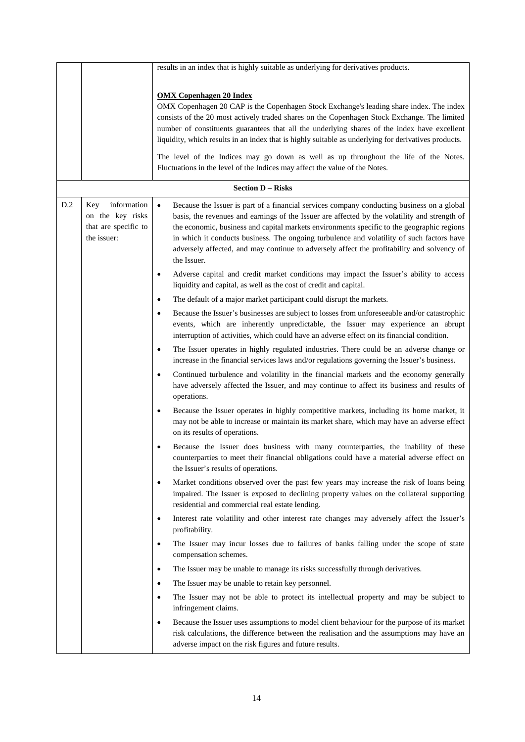|     |                      | results in an index that is highly suitable as underlying for derivatives products.                                                                                                                                                                             |
|-----|----------------------|-----------------------------------------------------------------------------------------------------------------------------------------------------------------------------------------------------------------------------------------------------------------|
|     |                      |                                                                                                                                                                                                                                                                 |
|     |                      | <b>OMX</b> Copenhagen 20 Index                                                                                                                                                                                                                                  |
|     |                      | OMX Copenhagen 20 CAP is the Copenhagen Stock Exchange's leading share index. The index                                                                                                                                                                         |
|     |                      | consists of the 20 most actively traded shares on the Copenhagen Stock Exchange. The limited<br>number of constituents guarantees that all the underlying shares of the index have excellent                                                                    |
|     |                      | liquidity, which results in an index that is highly suitable as underlying for derivatives products.                                                                                                                                                            |
|     |                      |                                                                                                                                                                                                                                                                 |
|     |                      | The level of the Indices may go down as well as up throughout the life of the Notes.                                                                                                                                                                            |
|     |                      | Fluctuations in the level of the Indices may affect the value of the Notes.                                                                                                                                                                                     |
|     |                      | <b>Section D - Risks</b>                                                                                                                                                                                                                                        |
| D.2 | information<br>Key   | Because the Issuer is part of a financial services company conducting business on a global<br>$\bullet$                                                                                                                                                         |
|     | on the key risks     | basis, the revenues and earnings of the Issuer are affected by the volatility and strength of                                                                                                                                                                   |
|     | that are specific to | the economic, business and capital markets environments specific to the geographic regions                                                                                                                                                                      |
|     | the issuer:          | in which it conducts business. The ongoing turbulence and volatility of such factors have                                                                                                                                                                       |
|     |                      | adversely affected, and may continue to adversely affect the profitability and solvency of<br>the Issuer.                                                                                                                                                       |
|     |                      | Adverse capital and credit market conditions may impact the Issuer's ability to access                                                                                                                                                                          |
|     |                      | liquidity and capital, as well as the cost of credit and capital.                                                                                                                                                                                               |
|     |                      | The default of a major market participant could disrupt the markets.<br>٠                                                                                                                                                                                       |
|     |                      | Because the Issuer's businesses are subject to losses from unforeseeable and/or catastrophic<br>$\bullet$                                                                                                                                                       |
|     |                      | events, which are inherently unpredictable, the Issuer may experience an abrupt<br>interruption of activities, which could have an adverse effect on its financial condition.                                                                                   |
|     |                      | The Issuer operates in highly regulated industries. There could be an adverse change or<br>$\bullet$<br>increase in the financial services laws and/or regulations governing the Issuer's business.                                                             |
|     |                      | Continued turbulence and volatility in the financial markets and the economy generally<br>$\bullet$<br>have adversely affected the Issuer, and may continue to affect its business and results of<br>operations.                                                |
|     |                      | Because the Issuer operates in highly competitive markets, including its home market, it<br>$\bullet$<br>may not be able to increase or maintain its market share, which may have an adverse effect<br>on its results of operations.                            |
|     |                      | Because the Issuer does business with many counterparties, the inability of these<br>counterparties to meet their financial obligations could have a material adverse effect on<br>the Issuer's results of operations.                                          |
|     |                      | Market conditions observed over the past few years may increase the risk of loans being<br>impaired. The Issuer is exposed to declining property values on the collateral supporting<br>residential and commercial real estate lending.                         |
|     |                      | Interest rate volatility and other interest rate changes may adversely affect the Issuer's<br>$\bullet$<br>profitability.                                                                                                                                       |
|     |                      | The Issuer may incur losses due to failures of banks falling under the scope of state<br>$\bullet$                                                                                                                                                              |
|     |                      | compensation schemes.                                                                                                                                                                                                                                           |
|     |                      | The Issuer may be unable to manage its risks successfully through derivatives.<br>٠                                                                                                                                                                             |
|     |                      | The Issuer may be unable to retain key personnel.<br>٠                                                                                                                                                                                                          |
|     |                      | The Issuer may not be able to protect its intellectual property and may be subject to<br>$\bullet$<br>infringement claims.                                                                                                                                      |
|     |                      | Because the Issuer uses assumptions to model client behaviour for the purpose of its market<br>$\bullet$<br>risk calculations, the difference between the realisation and the assumptions may have an<br>adverse impact on the risk figures and future results. |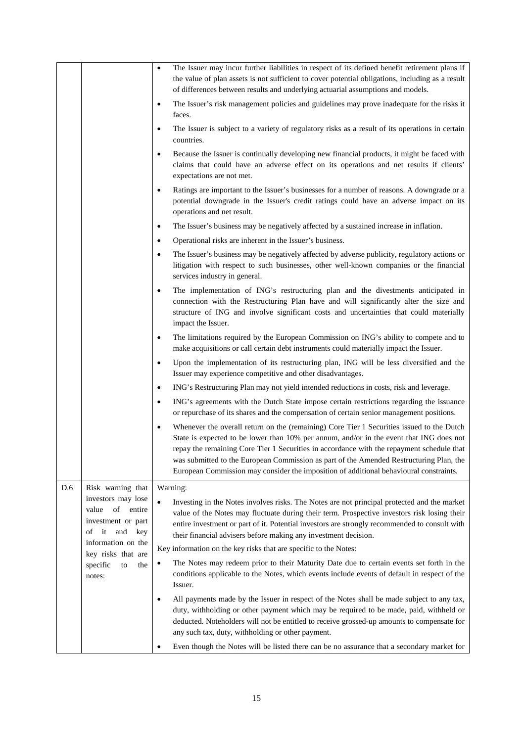|     |                                                                       | The Issuer may incur further liabilities in respect of its defined benefit retirement plans if<br>$\bullet$<br>the value of plan assets is not sufficient to cover potential obligations, including as a result<br>of differences between results and underlying actuarial assumptions and models.                                                                                                                                                                                  |
|-----|-----------------------------------------------------------------------|-------------------------------------------------------------------------------------------------------------------------------------------------------------------------------------------------------------------------------------------------------------------------------------------------------------------------------------------------------------------------------------------------------------------------------------------------------------------------------------|
|     |                                                                       | The Issuer's risk management policies and guidelines may prove inadequate for the risks it<br>$\bullet$<br>faces.                                                                                                                                                                                                                                                                                                                                                                   |
|     |                                                                       | The Issuer is subject to a variety of regulatory risks as a result of its operations in certain<br>$\bullet$<br>countries.                                                                                                                                                                                                                                                                                                                                                          |
|     |                                                                       | Because the Issuer is continually developing new financial products, it might be faced with<br>$\bullet$<br>claims that could have an adverse effect on its operations and net results if clients'<br>expectations are not met.                                                                                                                                                                                                                                                     |
|     |                                                                       | Ratings are important to the Issuer's businesses for a number of reasons. A downgrade or a<br>$\bullet$<br>potential downgrade in the Issuer's credit ratings could have an adverse impact on its<br>operations and net result.                                                                                                                                                                                                                                                     |
|     |                                                                       | The Issuer's business may be negatively affected by a sustained increase in inflation.<br>$\bullet$                                                                                                                                                                                                                                                                                                                                                                                 |
|     |                                                                       | Operational risks are inherent in the Issuer's business.<br>٠                                                                                                                                                                                                                                                                                                                                                                                                                       |
|     |                                                                       | The Issuer's business may be negatively affected by adverse publicity, regulatory actions or<br>$\bullet$<br>litigation with respect to such businesses, other well-known companies or the financial<br>services industry in general.                                                                                                                                                                                                                                               |
|     |                                                                       | The implementation of ING's restructuring plan and the divestments anticipated in<br>$\bullet$<br>connection with the Restructuring Plan have and will significantly alter the size and<br>structure of ING and involve significant costs and uncertainties that could materially<br>impact the Issuer.                                                                                                                                                                             |
|     |                                                                       | The limitations required by the European Commission on ING's ability to compete and to<br>$\bullet$<br>make acquisitions or call certain debt instruments could materially impact the Issuer.                                                                                                                                                                                                                                                                                       |
|     |                                                                       | Upon the implementation of its restructuring plan, ING will be less diversified and the<br>$\bullet$<br>Issuer may experience competitive and other disadvantages.                                                                                                                                                                                                                                                                                                                  |
|     |                                                                       | ING's Restructuring Plan may not yield intended reductions in costs, risk and leverage.<br>$\bullet$                                                                                                                                                                                                                                                                                                                                                                                |
|     |                                                                       | ING's agreements with the Dutch State impose certain restrictions regarding the issuance<br>$\bullet$<br>or repurchase of its shares and the compensation of certain senior management positions.                                                                                                                                                                                                                                                                                   |
|     |                                                                       | Whenever the overall return on the (remaining) Core Tier 1 Securities issued to the Dutch<br>$\bullet$<br>State is expected to be lower than 10% per annum, and/or in the event that ING does not<br>repay the remaining Core Tier 1 Securities in accordance with the repayment schedule that<br>was submitted to the European Commission as part of the Amended Restructuring Plan, the<br>European Commission may consider the imposition of additional behavioural constraints. |
| D.6 | Risk warning that                                                     | Warning:                                                                                                                                                                                                                                                                                                                                                                                                                                                                            |
|     | investors may lose                                                    | $\bullet$<br>Investing in the Notes involves risks. The Notes are not principal protected and the market                                                                                                                                                                                                                                                                                                                                                                            |
|     | of<br>entire<br>value<br>investment or part<br>it<br>and<br>key<br>οf | value of the Notes may fluctuate during their term. Prospective investors risk losing their<br>entire investment or part of it. Potential investors are strongly recommended to consult with<br>their financial advisers before making any investment decision.                                                                                                                                                                                                                     |
|     | information on the                                                    | Key information on the key risks that are specific to the Notes:                                                                                                                                                                                                                                                                                                                                                                                                                    |
|     | key risks that are<br>specific<br>to<br>the<br>notes:                 | The Notes may redeem prior to their Maturity Date due to certain events set forth in the<br>$\bullet$<br>conditions applicable to the Notes, which events include events of default in respect of the<br>Issuer.                                                                                                                                                                                                                                                                    |
|     |                                                                       | All payments made by the Issuer in respect of the Notes shall be made subject to any tax,<br>$\bullet$<br>duty, withholding or other payment which may be required to be made, paid, withheld or<br>deducted. Noteholders will not be entitled to receive grossed-up amounts to compensate for<br>any such tax, duty, withholding or other payment.                                                                                                                                 |
|     |                                                                       | Even though the Notes will be listed there can be no assurance that a secondary market for<br>٠                                                                                                                                                                                                                                                                                                                                                                                     |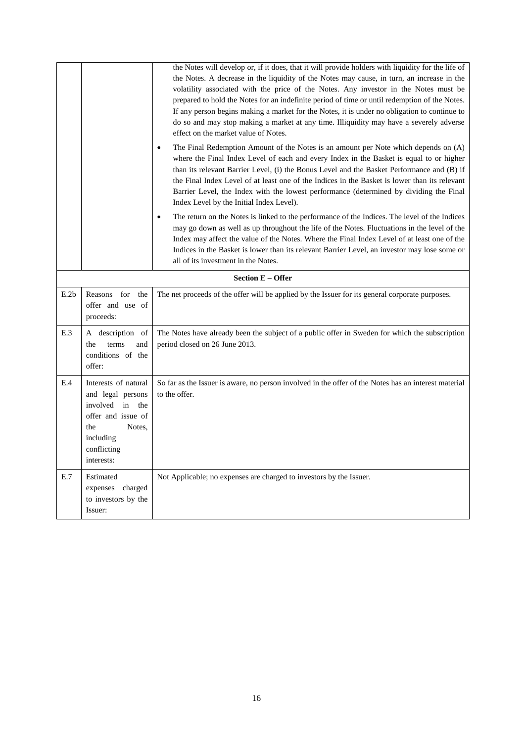|      | the Notes will develop or, if it does, that it will provide holders with liquidity for the life of<br>the Notes. A decrease in the liquidity of the Notes may cause, in turn, an increase in the<br>volatility associated with the price of the Notes. Any investor in the Notes must be<br>prepared to hold the Notes for an indefinite period of time or until redemption of the Notes.<br>If any person begins making a market for the Notes, it is under no obligation to continue to<br>do so and may stop making a market at any time. Illiquidity may have a severely adverse<br>effect on the market value of Notes.<br>The Final Redemption Amount of the Notes is an amount per Note which depends on (A)<br>where the Final Index Level of each and every Index in the Basket is equal to or higher<br>than its relevant Barrier Level, (i) the Bonus Level and the Basket Performance and (B) if<br>the Final Index Level of at least one of the Indices in the Basket is lower than its relevant<br>Barrier Level, the Index with the lowest performance (determined by dividing the Final<br>Index Level by the Initial Index Level). |                                                                                                                                                                                                                                                                                                                                                                                                                                                  |
|------|-----------------------------------------------------------------------------------------------------------------------------------------------------------------------------------------------------------------------------------------------------------------------------------------------------------------------------------------------------------------------------------------------------------------------------------------------------------------------------------------------------------------------------------------------------------------------------------------------------------------------------------------------------------------------------------------------------------------------------------------------------------------------------------------------------------------------------------------------------------------------------------------------------------------------------------------------------------------------------------------------------------------------------------------------------------------------------------------------------------------------------------------------------|--------------------------------------------------------------------------------------------------------------------------------------------------------------------------------------------------------------------------------------------------------------------------------------------------------------------------------------------------------------------------------------------------------------------------------------------------|
|      |                                                                                                                                                                                                                                                                                                                                                                                                                                                                                                                                                                                                                                                                                                                                                                                                                                                                                                                                                                                                                                                                                                                                                     | The return on the Notes is linked to the performance of the Indices. The level of the Indices<br>$\bullet$<br>may go down as well as up throughout the life of the Notes. Fluctuations in the level of the<br>Index may affect the value of the Notes. Where the Final Index Level of at least one of the<br>Indices in the Basket is lower than its relevant Barrier Level, an investor may lose some or<br>all of its investment in the Notes. |
|      |                                                                                                                                                                                                                                                                                                                                                                                                                                                                                                                                                                                                                                                                                                                                                                                                                                                                                                                                                                                                                                                                                                                                                     | <b>Section E – Offer</b>                                                                                                                                                                                                                                                                                                                                                                                                                         |
| E.2b | Reasons<br>for<br>the<br>offer and use of<br>proceeds:                                                                                                                                                                                                                                                                                                                                                                                                                                                                                                                                                                                                                                                                                                                                                                                                                                                                                                                                                                                                                                                                                              | The net proceeds of the offer will be applied by the Issuer for its general corporate purposes.                                                                                                                                                                                                                                                                                                                                                  |
| E.3  | A description of<br>terms<br>and<br>the<br>conditions of the<br>offer:                                                                                                                                                                                                                                                                                                                                                                                                                                                                                                                                                                                                                                                                                                                                                                                                                                                                                                                                                                                                                                                                              | The Notes have already been the subject of a public offer in Sweden for which the subscription<br>period closed on 26 June 2013.                                                                                                                                                                                                                                                                                                                 |
| E.4  | Interests of natural<br>and legal persons<br>involved<br>in<br>the<br>offer and issue of<br>Notes.<br>the<br>including<br>conflicting<br>interests:                                                                                                                                                                                                                                                                                                                                                                                                                                                                                                                                                                                                                                                                                                                                                                                                                                                                                                                                                                                                 | So far as the Issuer is aware, no person involved in the offer of the Notes has an interest material<br>to the offer.                                                                                                                                                                                                                                                                                                                            |
| E.7  | Estimated<br>expenses charged<br>to investors by the<br>Issuer:                                                                                                                                                                                                                                                                                                                                                                                                                                                                                                                                                                                                                                                                                                                                                                                                                                                                                                                                                                                                                                                                                     | Not Applicable; no expenses are charged to investors by the Issuer.                                                                                                                                                                                                                                                                                                                                                                              |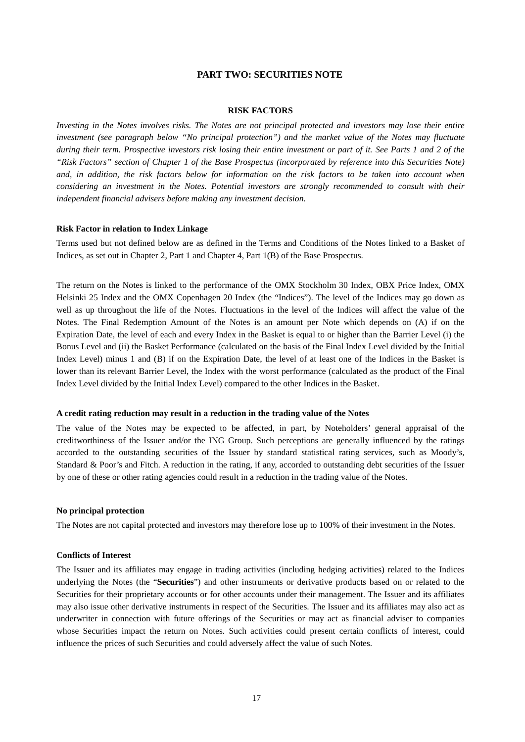# **PART TWO: SECURITIES NOTE**

#### **RISK FACTORS**

*Investing in the Notes involves risks. The Notes are not principal protected and investors may lose their entire investment (see paragraph below "No principal protection") and the market value of the Notes may fluctuate during their term. Prospective investors risk losing their entire investment or part of it. See Parts 1 and 2 of the "Risk Factors" section of Chapter 1 of the Base Prospectus (incorporated by reference into this Securities Note) and, in addition, the risk factors below for information on the risk factors to be taken into account when considering an investment in the Notes. Potential investors are strongly recommended to consult with their independent financial advisers before making any investment decision.*

#### **Risk Factor in relation to Index Linkage**

Terms used but not defined below are as defined in the Terms and Conditions of the Notes linked to a Basket of Indices, as set out in Chapter 2, Part 1 and Chapter 4, Part 1(B) of the Base Prospectus.

The return on the Notes is linked to the performance of the OMX Stockholm 30 Index, OBX Price Index, OMX Helsinki 25 Index and the OMX Copenhagen 20 Index (the "Indices"). The level of the Indices may go down as well as up throughout the life of the Notes. Fluctuations in the level of the Indices will affect the value of the Notes. The Final Redemption Amount of the Notes is an amount per Note which depends on (A) if on the Expiration Date, the level of each and every Index in the Basket is equal to or higher than the Barrier Level (i) the Bonus Level and (ii) the Basket Performance (calculated on the basis of the Final Index Level divided by the Initial Index Level) minus 1 and (B) if on the Expiration Date, the level of at least one of the Indices in the Basket is lower than its relevant Barrier Level, the Index with the worst performance (calculated as the product of the Final Index Level divided by the Initial Index Level) compared to the other Indices in the Basket.

#### **A credit rating reduction may result in a reduction in the trading value of the Notes**

The value of the Notes may be expected to be affected, in part, by Noteholders' general appraisal of the creditworthiness of the Issuer and/or the ING Group. Such perceptions are generally influenced by the ratings accorded to the outstanding securities of the Issuer by standard statistical rating services, such as Moody's, Standard & Poor's and Fitch. A reduction in the rating, if any, accorded to outstanding debt securities of the Issuer by one of these or other rating agencies could result in a reduction in the trading value of the Notes.

#### **No principal protection**

The Notes are not capital protected and investors may therefore lose up to 100% of their investment in the Notes.

# **Conflicts of Interest**

The Issuer and its affiliates may engage in trading activities (including hedging activities) related to the Indices underlying the Notes (the "**Securities**") and other instruments or derivative products based on or related to the Securities for their proprietary accounts or for other accounts under their management. The Issuer and its affiliates may also issue other derivative instruments in respect of the Securities. The Issuer and its affiliates may also act as underwriter in connection with future offerings of the Securities or may act as financial adviser to companies whose Securities impact the return on Notes. Such activities could present certain conflicts of interest, could influence the prices of such Securities and could adversely affect the value of such Notes.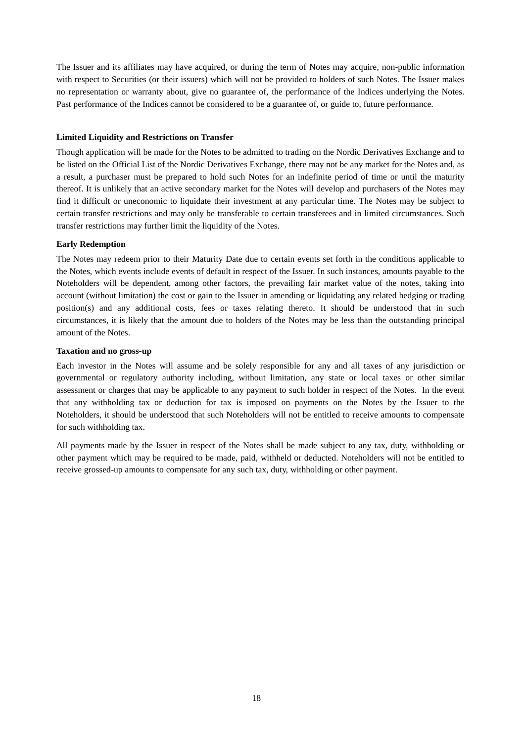The Issuer and its affiliates may have acquired, or during the term of Notes may acquire, non-public information with respect to Securities (or their issuers) which will not be provided to holders of such Notes. The Issuer makes no representation or warranty about, give no guarantee of, the performance of the Indices underlying the Notes. Past performance of the Indices cannot be considered to be a guarantee of, or guide to, future performance.

# **Limited Liquidity and Restrictions on Transfer**

Though application will be made for the Notes to be admitted to trading on the Nordic Derivatives Exchange and to be listed on the Official List of the Nordic Derivatives Exchange, there may not be any market for the Notes and, as a result, a purchaser must be prepared to hold such Notes for an indefinite period of time or until the maturity thereof. It is unlikely that an active secondary market for the Notes will develop and purchasers of the Notes may find it difficult or uneconomic to liquidate their investment at any particular time. The Notes may be subject to certain transfer restrictions and may only be transferable to certain transferees and in limited circumstances. Such transfer restrictions may further limit the liquidity of the Notes.

# **Early Redemption**

The Notes may redeem prior to their Maturity Date due to certain events set forth in the conditions applicable to the Notes, which events include events of default in respect of the Issuer. In such instances, amounts payable to the Noteholders will be dependent, among other factors, the prevailing fair market value of the notes, taking into account (without limitation) the cost or gain to the Issuer in amending or liquidating any related hedging or trading position(s) and any additional costs, fees or taxes relating thereto. It should be understood that in such circumstances, it is likely that the amount due to holders of the Notes may be less than the outstanding principal amount of the Notes.

# **Taxation and no gross-up**

Each investor in the Notes will assume and be solely responsible for any and all taxes of any jurisdiction or governmental or regulatory authority including, without limitation, any state or local taxes or other similar assessment or charges that may be applicable to any payment to such holder in respect of the Notes. In the event that any withholding tax or deduction for tax is imposed on payments on the Notes by the Issuer to the Noteholders, it should be understood that such Noteholders will not be entitled to receive amounts to compensate for such withholding tax.

All payments made by the Issuer in respect of the Notes shall be made subject to any tax, duty, withholding or other payment which may be required to be made, paid, withheld or deducted. Noteholders will not be entitled to receive grossed-up amounts to compensate for any such tax, duty, withholding or other payment.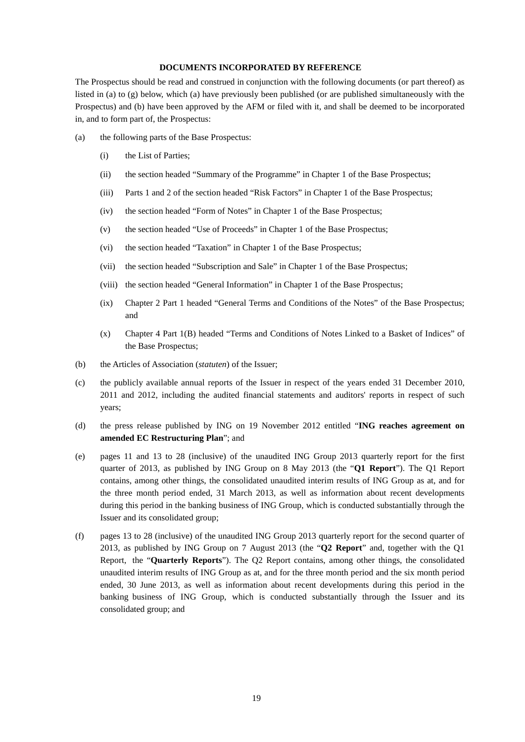#### **DOCUMENTS INCORPORATED BY REFERENCE**

The Prospectus should be read and construed in conjunction with the following documents (or part thereof) as listed in (a) to (g) below, which (a) have previously been published (or are published simultaneously with the Prospectus) and (b) have been approved by the AFM or filed with it, and shall be deemed to be incorporated in, and to form part of, the Prospectus:

- (a) the following parts of the Base Prospectus:
	- (i) the List of Parties;
	- (ii) the section headed "Summary of the Programme" in Chapter 1 of the Base Prospectus;
	- (iii) Parts 1 and 2 of the section headed "Risk Factors" in Chapter 1 of the Base Prospectus;
	- (iv) the section headed "Form of Notes" in Chapter 1 of the Base Prospectus;
	- (v) the section headed "Use of Proceeds" in Chapter 1 of the Base Prospectus;
	- (vi) the section headed "Taxation" in Chapter 1 of the Base Prospectus;
	- (vii) the section headed "Subscription and Sale" in Chapter 1 of the Base Prospectus;
	- (viii) the section headed "General Information" in Chapter 1 of the Base Prospectus;
	- (ix) Chapter 2 Part 1 headed "General Terms and Conditions of the Notes" of the Base Prospectus; and
	- (x) Chapter 4 Part 1(B) headed "Terms and Conditions of Notes Linked to a Basket of Indices" of the Base Prospectus;
- (b) the Articles of Association (*statuten*) of the Issuer;
- (c) the publicly available annual reports of the Issuer in respect of the years ended 31 December 2010, 2011 and 2012, including the audited financial statements and auditors' reports in respect of such years;
- (d) the press release published by ING on 19 November 2012 entitled "**ING reaches agreement on amended EC Restructuring Plan**"; and
- (e) pages 11 and 13 to 28 (inclusive) of the unaudited ING Group 2013 quarterly report for the first quarter of 2013, as published by ING Group on 8 May 2013 (the "**Q1 Report**"). The Q1 Report contains, among other things, the consolidated unaudited interim results of ING Group as at, and for the three month period ended, 31 March 2013, as well as information about recent developments during this period in the banking business of ING Group, which is conducted substantially through the Issuer and its consolidated group;
- (f) pages 13 to 28 (inclusive) of the unaudited ING Group 2013 quarterly report for the second quarter of 2013, as published by ING Group on 7 August 2013 (the "**Q2 Report**" and, together with the Q1 Report, the "**Quarterly Reports**"). The Q2 Report contains, among other things, the consolidated unaudited interim results of ING Group as at, and for the three month period and the six month period ended, 30 June 2013, as well as information about recent developments during this period in the banking business of ING Group, which is conducted substantially through the Issuer and its consolidated group; and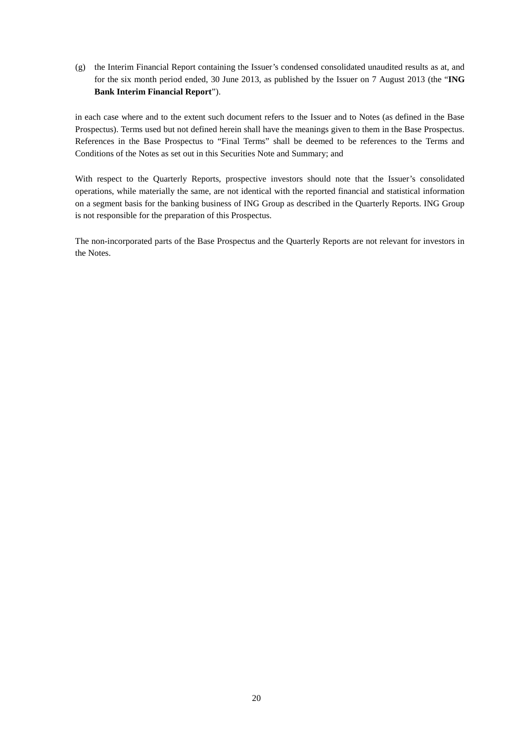(g) the Interim Financial Report containing the Issuer's condensed consolidated unaudited results as at, and for the six month period ended, 30 June 2013, as published by the Issuer on 7 August 2013 (the "**ING Bank Interim Financial Report**").

in each case where and to the extent such document refers to the Issuer and to Notes (as defined in the Base Prospectus). Terms used but not defined herein shall have the meanings given to them in the Base Prospectus. References in the Base Prospectus to "Final Terms" shall be deemed to be references to the Terms and Conditions of the Notes as set out in this Securities Note and Summary; and

With respect to the Quarterly Reports, prospective investors should note that the Issuer's consolidated operations, while materially the same, are not identical with the reported financial and statistical information on a segment basis for the banking business of ING Group as described in the Quarterly Reports. ING Group is not responsible for the preparation of this Prospectus.

The non-incorporated parts of the Base Prospectus and the Quarterly Reports are not relevant for investors in the Notes.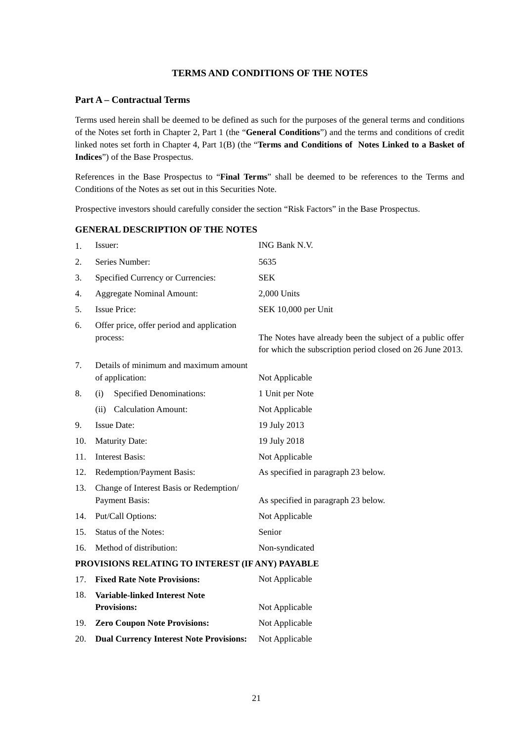# **TERMS AND CONDITIONS OF THE NOTES**

# **Part A – Contractual Terms**

Terms used herein shall be deemed to be defined as such for the purposes of the general terms and conditions of the Notes set forth in Chapter 2, Part 1 (the "**General Conditions**") and the terms and conditions of credit linked notes set forth in Chapter 4, Part 1(B) (the "**Terms and Conditions of Notes Linked to a Basket of Indices**") of the Base Prospectus.

References in the Base Prospectus to "**Final Terms**" shall be deemed to be references to the Terms and Conditions of the Notes as set out in this Securities Note.

Prospective investors should carefully consider the section "Risk Factors" in the Base Prospectus.

# **GENERAL DESCRIPTION OF THE NOTES**

| 1.  | Issuer:                                                          | ING Bank N.V.                                                                                                          |  |  |
|-----|------------------------------------------------------------------|------------------------------------------------------------------------------------------------------------------------|--|--|
| 2.  | Series Number:                                                   | 5635                                                                                                                   |  |  |
| 3.  | Specified Currency or Currencies:                                | <b>SEK</b>                                                                                                             |  |  |
| 4.  | <b>Aggregate Nominal Amount:</b>                                 | 2,000 Units                                                                                                            |  |  |
| 5.  | <b>Issue Price:</b>                                              | SEK 10,000 per Unit                                                                                                    |  |  |
| 6.  | Offer price, offer period and application<br>process:            | The Notes have already been the subject of a public offer<br>for which the subscription period closed on 26 June 2013. |  |  |
| 7.  | Details of minimum and maximum amount<br>of application:         | Not Applicable                                                                                                         |  |  |
| 8.  | <b>Specified Denominations:</b><br>(i)                           | 1 Unit per Note                                                                                                        |  |  |
|     | <b>Calculation Amount:</b><br>(ii)                               | Not Applicable                                                                                                         |  |  |
| 9.  | <b>Issue Date:</b>                                               | 19 July 2013                                                                                                           |  |  |
| 10. | <b>Maturity Date:</b>                                            | 19 July 2018                                                                                                           |  |  |
| 11. | <b>Interest Basis:</b>                                           | Not Applicable                                                                                                         |  |  |
| 12. | Redemption/Payment Basis:                                        | As specified in paragraph 23 below.                                                                                    |  |  |
| 13. | Change of Interest Basis or Redemption/<br><b>Payment Basis:</b> | As specified in paragraph 23 below.                                                                                    |  |  |
| 14. | Put/Call Options:                                                | Not Applicable                                                                                                         |  |  |
| 15. | Status of the Notes:                                             | Senior                                                                                                                 |  |  |
| 16. | Method of distribution:                                          | Non-syndicated                                                                                                         |  |  |
|     | PROVISIONS RELATING TO INTEREST (IF ANY) PAYABLE                 |                                                                                                                        |  |  |

| 17 <sub>1</sub> | <b>Fixed Rate Note Provisions:</b>             | Not Applicable |
|-----------------|------------------------------------------------|----------------|
| 18.             | Variable-linked Interest Note                  |                |
|                 | <b>Provisions:</b>                             | Not Applicable |
|                 | 19. Zero Coupon Note Provisions:               | Not Applicable |
| 20.             | <b>Dual Currency Interest Note Provisions:</b> | Not Applicable |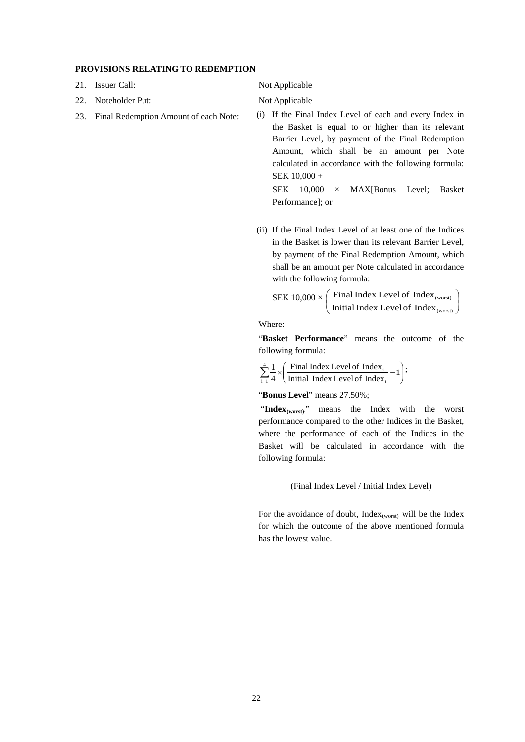#### **PROVISIONS RELATING TO REDEMPTION**

- 21. Issuer Call: Not Applicable
- 22. Noteholder Put: Not Applicable
- 

23. Final Redemption Amount of each Note: (i) If the Final Index Level of each and every Index in the Basket is equal to or higher than its relevant Barrier Level, by payment of the Final Redemption Amount, which shall be an amount per Note calculated in accordance with the following formula: SEK 10,000 +

> SEK 10,000 × MAX[Bonus Level; Basket Performance]; or

(ii) If the Final Index Level of at least one of the Indices in the Basket is lower than its relevant Barrier Level, by payment of the Final Redemption Amount, which shall be an amount per Note calculated in accordance with the following formula:

$$
SEK 10,000 \times \left(\frac{\text{Final Index Level of Index}_{\text{(worst)}}}{\text{Initial Index Level of Index}_{\text{(worst)}}}\right)
$$

Where:

"**Basket Performance**" means the outcome of the following formula:

 $\overline{\phantom{a}}$  $\bigg)$  $\left( \right)$  $\overline{\phantom{a}}$  $\sum_{i=1}^{4} \frac{1}{4} \times \left( \frac{\text{Final Index Level of Index}_{i}}{\text{Initial Index Level of Index}_{i}} - 1 \right)$ Final Index Level of Index 4 1 i  $\frac{4}{\sqrt{2}}$   $\frac{1}{\sqrt{2}}$  Final Index Level of Index.  $i = 1$ ;

"**Bonus Level**" means 27.50%;

"Index<sub>(worst)</sub>" means the Index with the worst performance compared to the other Indices in the Basket, where the performance of each of the Indices in the Basket will be calculated in accordance with the following formula:

(Final Index Level / Initial Index Level)

For the avoidance of doubt,  $Index_{(worst)}$  will be the Index for which the outcome of the above mentioned formula has the lowest value.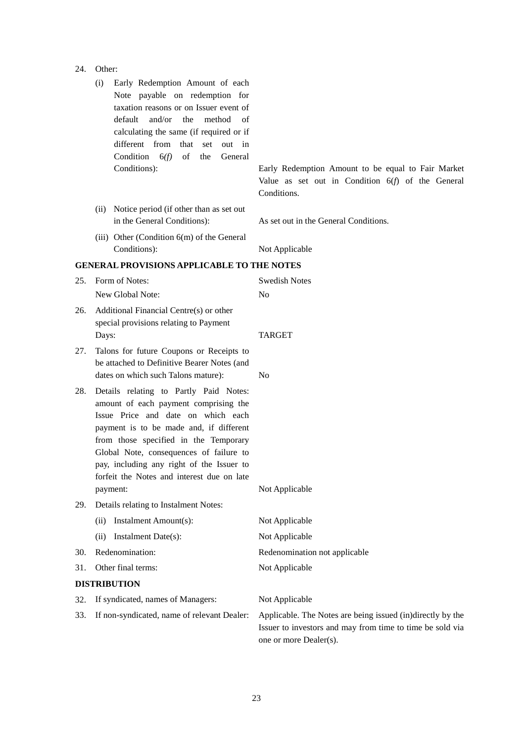|     | Early Redemption Amount of each<br>(i)<br>Note payable on redemption for<br>taxation reasons or on Issuer event of<br>default<br>and/or<br>method<br>the<br>of<br>calculating the same (if required or if<br>different from<br>that<br>out in<br>set<br>Condition $6(f)$<br>of<br>the<br>General                                                            |                                                                                                                                                   |
|-----|-------------------------------------------------------------------------------------------------------------------------------------------------------------------------------------------------------------------------------------------------------------------------------------------------------------------------------------------------------------|---------------------------------------------------------------------------------------------------------------------------------------------------|
|     | Conditions):                                                                                                                                                                                                                                                                                                                                                | Early Redemption Amount to be equal to Fair Market<br>Value as set out in Condition $6(f)$ of the General<br>Conditions.                          |
|     | (ii) Notice period (if other than as set out<br>in the General Conditions):                                                                                                                                                                                                                                                                                 | As set out in the General Conditions.                                                                                                             |
|     | (iii) Other (Condition $6(m)$ of the General                                                                                                                                                                                                                                                                                                                |                                                                                                                                                   |
|     | Conditions):                                                                                                                                                                                                                                                                                                                                                | Not Applicable                                                                                                                                    |
|     | <b>GENERAL PROVISIONS APPLICABLE TO THE NOTES</b>                                                                                                                                                                                                                                                                                                           |                                                                                                                                                   |
| 25. | Form of Notes:                                                                                                                                                                                                                                                                                                                                              | <b>Swedish Notes</b>                                                                                                                              |
|     | New Global Note:                                                                                                                                                                                                                                                                                                                                            | N <sub>0</sub>                                                                                                                                    |
| 26. | Additional Financial Centre(s) or other<br>special provisions relating to Payment<br>Days:                                                                                                                                                                                                                                                                  | <b>TARGET</b>                                                                                                                                     |
| 27. | Talons for future Coupons or Receipts to<br>be attached to Definitive Bearer Notes (and<br>dates on which such Talons mature):                                                                                                                                                                                                                              | No                                                                                                                                                |
| 28. | Details relating to Partly Paid Notes:<br>amount of each payment comprising the<br>Issue Price and date on which each<br>payment is to be made and, if different<br>from those specified in the Temporary<br>Global Note, consequences of failure to<br>pay, including any right of the Issuer to<br>forfeit the Notes and interest due on late<br>payment: | Not Applicable                                                                                                                                    |
| 29. | Details relating to Instalment Notes:                                                                                                                                                                                                                                                                                                                       |                                                                                                                                                   |
|     | Instalment Amount(s):<br>(ii)                                                                                                                                                                                                                                                                                                                               | Not Applicable                                                                                                                                    |
|     | Instalment Date(s):<br>(ii)                                                                                                                                                                                                                                                                                                                                 | Not Applicable                                                                                                                                    |
| 30. | Redenomination:                                                                                                                                                                                                                                                                                                                                             | Redenomination not applicable                                                                                                                     |
| 31. | Other final terms:                                                                                                                                                                                                                                                                                                                                          | Not Applicable                                                                                                                                    |
|     | <b>DISTRIBUTION</b>                                                                                                                                                                                                                                                                                                                                         |                                                                                                                                                   |
| 32. | If syndicated, names of Managers:                                                                                                                                                                                                                                                                                                                           | Not Applicable                                                                                                                                    |
| 33. | If non-syndicated, name of relevant Dealer:                                                                                                                                                                                                                                                                                                                 | Applicable. The Notes are being issued (in)directly by the<br>Issuer to investors and may from time to time be sold via<br>one or more Dealer(s). |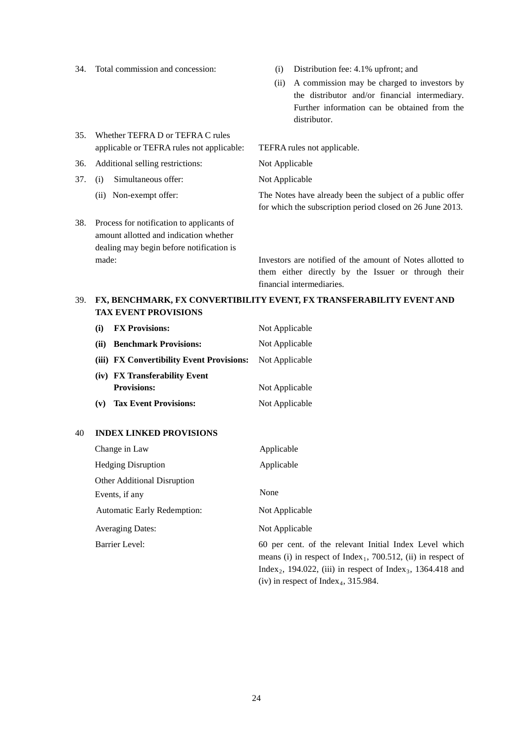- 
- 34. Total commission and concession: (i) Distribution fee: 4.1% upfront; and
	- (ii) A commission may be charged to investors by the distributor and/or financial intermediary. Further information can be obtained from the distributor.
- 35. Whether TEFRA D or TEFRA C rules applicable or TEFRA rules not applicable: TEFRA rules not applicable.
- 36. Additional selling restrictions: Not Applicable
- 37. (i) Simultaneous offer: Not Applicable
	-
- 38. Process for notification to applicants of amount allotted and indication whether dealing may begin before notification is

(ii) Non-exempt offer: The Notes have already been the subject of a public offer for which the subscription period closed on 26 June 2013.

made: Investors are notified of the amount of Notes allotted to them either directly by the Issuer or through their financial intermediaries.

# 39. **FX, BENCHMARK, FX CONVERTIBILITY EVENT, FX TRANSFERABILITY EVENT AND TAX EVENT PROVISIONS**

| (i)  | <b>FX Provisions:</b>                     | Not Applicable |
|------|-------------------------------------------|----------------|
| (ii) | <b>Benchmark Provisions:</b>              | Not Applicable |
|      | (iii) FX Convertibility Event Provisions: | Not Applicable |
|      | (iv) FX Transferability Event             |                |
|      | <b>Provisions:</b>                        | Not Applicable |
| (v)  | <b>Tax Event Provisions:</b>              | Not Applicable |

# 40 **INDEX LINKED PROVISIONS**

| Change in Law                      | Applicable                                                                                                                                                                                                                                                           |
|------------------------------------|----------------------------------------------------------------------------------------------------------------------------------------------------------------------------------------------------------------------------------------------------------------------|
| <b>Hedging Disruption</b>          | Applicable                                                                                                                                                                                                                                                           |
| <b>Other Additional Disruption</b> |                                                                                                                                                                                                                                                                      |
| Events, if any                     | None                                                                                                                                                                                                                                                                 |
| <b>Automatic Early Redemption:</b> | Not Applicable                                                                                                                                                                                                                                                       |
| <b>Averaging Dates:</b>            | Not Applicable                                                                                                                                                                                                                                                       |
| Barrier Level:                     | 60 per cent. of the relevant Initial Index Level which<br>means (i) in respect of $Index_1$ , 700.512, (ii) in respect of<br>Index <sub>2</sub> , 194.022, (iii) in respect of Index <sub>3</sub> , 1364.418 and<br>(iv) in respect of Index <sub>4</sub> , 315.984. |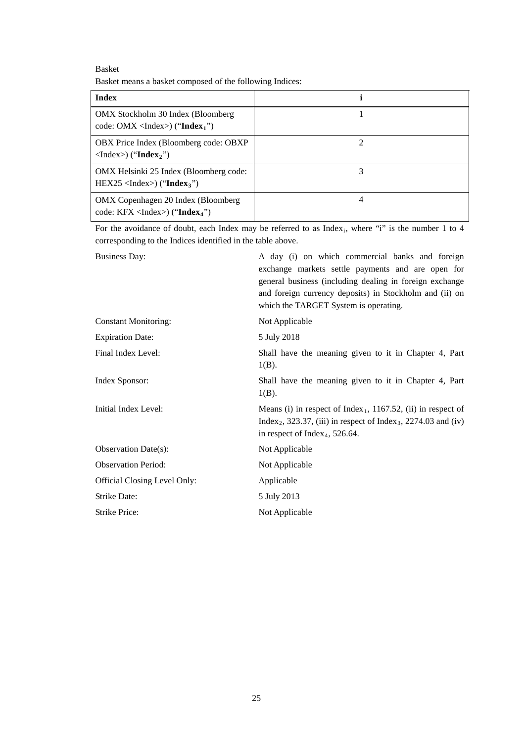Basket Basket means a basket composed of the following Indices:

| <b>Index</b>                                                                                        |   |
|-----------------------------------------------------------------------------------------------------|---|
| OMX Stockholm 30 Index (Bloomberg)<br>code: OMX <index><math>)</math> ("Index<sub>1</sub>")</index> |   |
| OBX Price Index (Bloomberg code: OBXP)<br>$\langle$ Index $\rangle$ ("Index <sub>2</sub> ")         |   |
| OMX Helsinki 25 Index (Bloomberg code:<br>$HEX25 <$ Index>) ("Index <sub>3</sub> ")                 | 3 |
| OMX Copenhagen 20 Index (Bloomberg)<br>code: $KFX < Index$ ) ("Index <sub>4</sub> ")                | 4 |

For the avoidance of doubt, each Index may be referred to as Index<sub>i</sub>, where "i" is the number 1 to 4 corresponding to the Indices identified in the table above.

| <b>Business Day:</b>         | A day (i) on which commercial banks and foreign<br>exchange markets settle payments and are open for<br>general business (including dealing in foreign exchange<br>and foreign currency deposits) in Stockholm and (ii) on<br>which the TARGET System is operating. |
|------------------------------|---------------------------------------------------------------------------------------------------------------------------------------------------------------------------------------------------------------------------------------------------------------------|
| <b>Constant Monitoring:</b>  | Not Applicable                                                                                                                                                                                                                                                      |
| <b>Expiration Date:</b>      | 5 July 2018                                                                                                                                                                                                                                                         |
| Final Index Level:           | Shall have the meaning given to it in Chapter 4, Part<br>$1(B)$ .                                                                                                                                                                                                   |
| Index Sponsor:               | Shall have the meaning given to it in Chapter 4, Part<br>$1(B)$ .                                                                                                                                                                                                   |
| Initial Index Level:         | Means (i) in respect of Index <sub>1</sub> , 1167.52, (ii) in respect of<br>Index <sub>2</sub> , 323.37, (iii) in respect of Index <sub>3</sub> , 2274.03 and (iv)<br>in respect of Index <sub>4</sub> , 526.64.                                                    |
| Observation Date(s):         | Not Applicable                                                                                                                                                                                                                                                      |
| <b>Observation Period:</b>   | Not Applicable                                                                                                                                                                                                                                                      |
| Official Closing Level Only: | Applicable                                                                                                                                                                                                                                                          |
| Strike Date:                 | 5 July 2013                                                                                                                                                                                                                                                         |
| <b>Strike Price:</b>         | Not Applicable                                                                                                                                                                                                                                                      |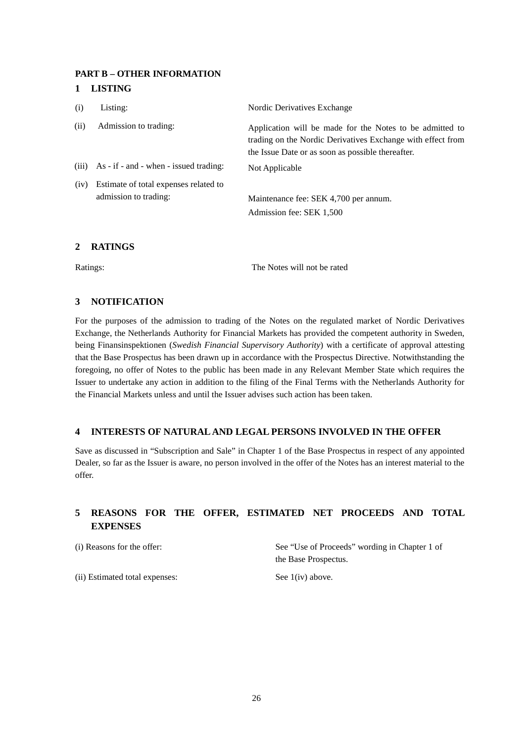# **PART B – OTHER INFORMATION**

# **1 LISTING**

| (i)  | Listing:                                       | Nordic Derivatives Exchange                                                                                                                                                  |
|------|------------------------------------------------|------------------------------------------------------------------------------------------------------------------------------------------------------------------------------|
| (ii) | Admission to trading:                          | Application will be made for the Notes to be admitted to<br>trading on the Nordic Derivatives Exchange with effect from<br>the Issue Date or as soon as possible thereafter. |
|      | $(iii)$ As - if - and - when - issued trading: | Not Applicable                                                                                                                                                               |
| (iv) | Estimate of total expenses related to          |                                                                                                                                                                              |
|      | admission to trading:                          | Maintenance fee: SEK 4,700 per annum.                                                                                                                                        |
|      |                                                | Admission fee: SEK 1,500                                                                                                                                                     |
|      |                                                |                                                                                                                                                                              |

#### **2 RATINGS**

Ratings: The Notes will not be rated

# **3 NOTIFICATION**

For the purposes of the admission to trading of the Notes on the regulated market of Nordic Derivatives Exchange, the Netherlands Authority for Financial Markets has provided the competent authority in Sweden, being Finansinspektionen (*Swedish Financial Supervisory Authority*) with a certificate of approval attesting that the Base Prospectus has been drawn up in accordance with the Prospectus Directive. Notwithstanding the foregoing, no offer of Notes to the public has been made in any Relevant Member State which requires the Issuer to undertake any action in addition to the filing of the Final Terms with the Netherlands Authority for the Financial Markets unless and until the Issuer advises such action has been taken.

# **4 INTERESTS OF NATURAL AND LEGAL PERSONS INVOLVED IN THE OFFER**

Save as discussed in "Subscription and Sale" in Chapter 1 of the Base Prospectus in respect of any appointed Dealer, so far as the Issuer is aware, no person involved in the offer of the Notes has an interest material to the offer.

# **5 REASONS FOR THE OFFER, ESTIMATED NET PROCEEDS AND TOTAL EXPENSES**

(i) Reasons for the offer: See "Use of Proceeds" wording in Chapter 1 of the Base Prospectus.

(ii) Estimated total expenses: See 1(iv) above.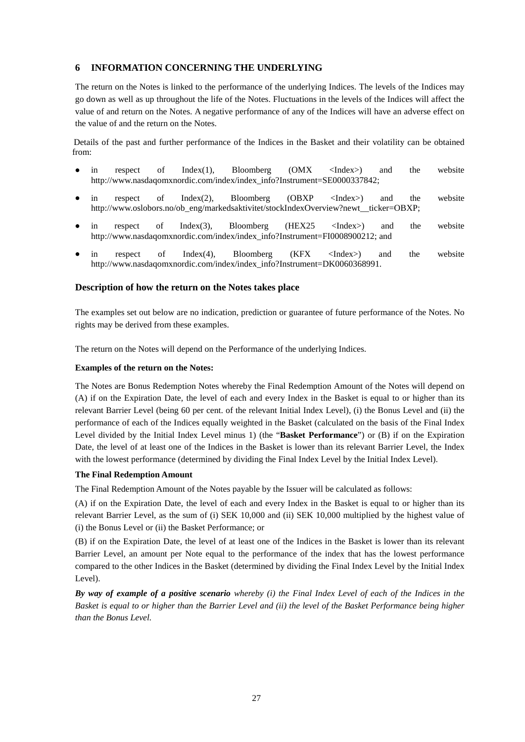# **6 INFORMATION CONCERNING THE UNDERLYING**

The return on the Notes is linked to the performance of the underlying Indices. The levels of the Indices may go down as well as up throughout the life of the Notes. Fluctuations in the levels of the Indices will affect the value of and return on the Notes. A negative performance of any of the Indices will have an adverse effect on the value of and the return on the Notes.

Details of the past and further performance of the Indices in the Basket and their volatility can be obtained from:

- in respect of Index(1), Bloomberg (OMX <Index>) and the website http://www.nasdaqomxnordic.com/index/index\_info?Instrument=SE0000337842;
- in respect of Index(2), Bloomberg (OBXP <Index>) and the website http://www.oslobors.no/ob\_eng/markedsaktivitet/stockIndexOverview?newt\_ticker=OBXP;
- in respect of Index(3), Bloomberg (HEX25 <Index>) and the website http://www.nasdaqomxnordic.com/index/index\_info?Instrument=FI0008900212; and
- in respect of Index(4), Bloomberg (KFX <Index>) and the website http://www.nasdaqomxnordic.com/index/index\_info?Instrument=DK0060368991.

# **Description of how the return on the Notes takes place**

The examples set out below are no indication, prediction or guarantee of future performance of the Notes. No rights may be derived from these examples.

The return on the Notes will depend on the Performance of the underlying Indices.

#### **Examples of the return on the Notes:**

The Notes are Bonus Redemption Notes whereby the Final Redemption Amount of the Notes will depend on (A) if on the Expiration Date, the level of each and every Index in the Basket is equal to or higher than its relevant Barrier Level (being 60 per cent. of the relevant Initial Index Level), (i) the Bonus Level and (ii) the performance of each of the Indices equally weighted in the Basket (calculated on the basis of the Final Index Level divided by the Initial Index Level minus 1) (the "**Basket Performance**") or (B) if on the Expiration Date, the level of at least one of the Indices in the Basket is lower than its relevant Barrier Level, the Index with the lowest performance (determined by dividing the Final Index Level by the Initial Index Level).

# **The Final Redemption Amount**

The Final Redemption Amount of the Notes payable by the Issuer will be calculated as follows:

(A) if on the Expiration Date, the level of each and every Index in the Basket is equal to or higher than its relevant Barrier Level, as the sum of (i) SEK 10,000 and (ii) SEK 10,000 multiplied by the highest value of (i) the Bonus Level or (ii) the Basket Performance; or

(B) if on the Expiration Date, the level of at least one of the Indices in the Basket is lower than its relevant Barrier Level, an amount per Note equal to the performance of the index that has the lowest performance compared to the other Indices in the Basket (determined by dividing the Final Index Level by the Initial Index Level).

*By way of example of a positive scenario whereby (i) the Final Index Level of each of the Indices in the Basket is equal to or higher than the Barrier Level and (ii) the level of the Basket Performance being higher than the Bonus Level.*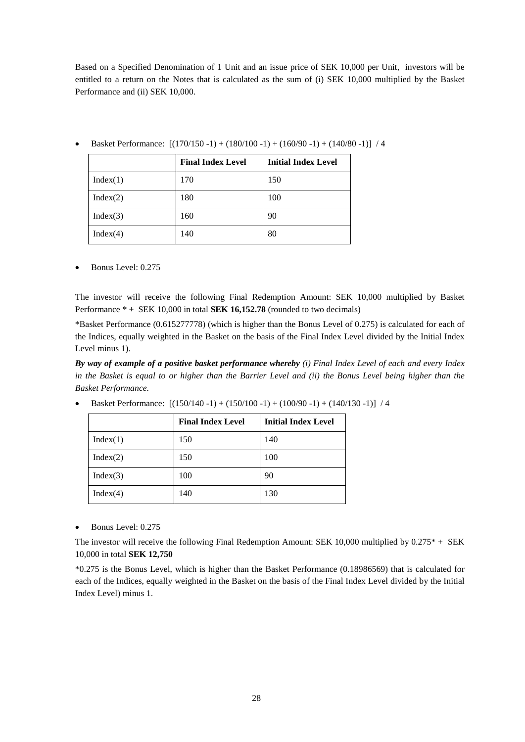Based on a Specified Denomination of 1 Unit and an issue price of SEK 10,000 per Unit, investors will be entitled to a return on the Notes that is calculated as the sum of (i) SEK 10,000 multiplied by the Basket Performance and (ii) SEK 10,000.

|          | <b>Final Index Level</b> | <b>Initial Index Level</b> |
|----------|--------------------------|----------------------------|
| Index(1) | 170                      | 150                        |
| Index(2) | 180                      | 100                        |
| Index(3) | 160                      | 90                         |
| Index(4) | 140                      | 80                         |

• Basket Performance: [(170/150 -1) + (180/100 -1) + (160/90 -1) + (140/80 -1)] / 4

• Bonus Level: 0.275

The investor will receive the following Final Redemption Amount: SEK 10,000 multiplied by Basket Performance \* + SEK 10,000 in total **SEK 16,152.78** (rounded to two decimals)

\*Basket Performance (0.615277778) (which is higher than the Bonus Level of 0.275) is calculated for each of the Indices, equally weighted in the Basket on the basis of the Final Index Level divided by the Initial Index Level minus 1).

*By way of example of a positive basket performance whereby (i) Final Index Level of each and every Index in the Basket is equal to or higher than the Barrier Level and (ii) the Bonus Level being higher than the Basket Performance.*

• Basket Performance: [(150/140 -1) + (150/100 -1) + (100/90 -1) + (140/130 -1)] / 4

|          | <b>Final Index Level</b> | <b>Initial Index Level</b> |
|----------|--------------------------|----------------------------|
| Index(1) | 150                      | 140                        |
| Index(2) | 150                      | 100                        |
| Index(3) | 100                      | 90                         |
| Index(4) | 140                      | 130                        |

• Bonus Level: 0.275

The investor will receive the following Final Redemption Amount: SEK 10,000 multiplied by 0.275\* + SEK 10,000 in total **SEK 12,750**

\*0.275 is the Bonus Level, which is higher than the Basket Performance (0.18986569) that is calculated for each of the Indices, equally weighted in the Basket on the basis of the Final Index Level divided by the Initial Index Level) minus 1.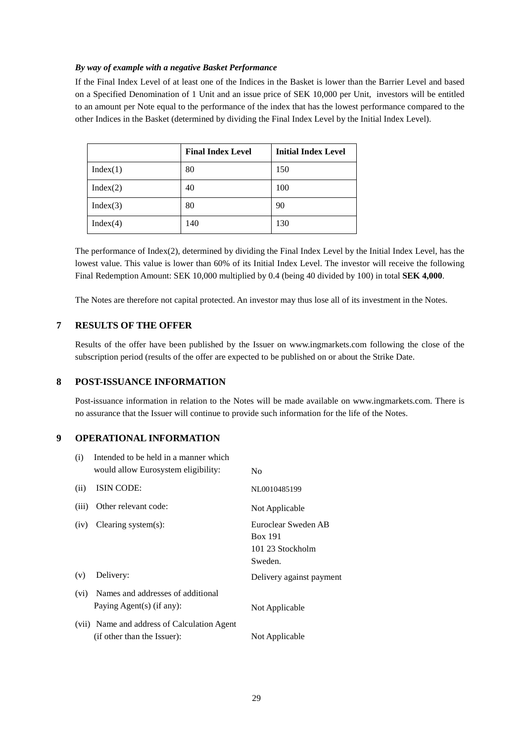# *By way of example with a negative Basket Performance*

If the Final Index Level of at least one of the Indices in the Basket is lower than the Barrier Level and based on a Specified Denomination of 1 Unit and an issue price of SEK 10,000 per Unit, investors will be entitled to an amount per Note equal to the performance of the index that has the lowest performance compared to the other Indices in the Basket (determined by dividing the Final Index Level by the Initial Index Level).

|          | <b>Final Index Level</b> | <b>Initial Index Level</b> |
|----------|--------------------------|----------------------------|
| Index(1) | 80                       | 150                        |
| Index(2) | 40                       | 100                        |
| Index(3) | 80                       | 90                         |
| Index(4) | 140                      | 130                        |

The performance of Index(2), determined by dividing the Final Index Level by the Initial Index Level, has the lowest value. This value is lower than 60% of its Initial Index Level. The investor will receive the following Final Redemption Amount: SEK 10,000 multiplied by 0.4 (being 40 divided by 100) in total **SEK 4,000**.

The Notes are therefore not capital protected. An investor may thus lose all of its investment in the Notes.

# **7 RESULTS OF THE OFFER**

Results of the offer have been published by the Issuer on www.ingmarkets.com following the close of the subscription period (results of the offer are expected to be published on or about the Strike Date.

# **8 POST-ISSUANCE INFORMATION**

Post-issuance information in relation to the Notes will be made available on www.ingmarkets.com. There is no assurance that the Issuer will continue to provide such information for the life of the Notes.

# **9 OPERATIONAL INFORMATION**

| (i)   | Intended to be held in a manner which<br>would allow Eurosystem eligibility: | N <sub>0</sub>                                                       |
|-------|------------------------------------------------------------------------------|----------------------------------------------------------------------|
| (ii)  | ISIN CODE:                                                                   | NL0010485199                                                         |
| (iii) | Other relevant code:                                                         | Not Applicable                                                       |
| (iv)  | Clearing system $(s)$ :                                                      | Euroclear Sweden AB<br><b>Box 191</b><br>101 23 Stockholm<br>Sweden. |
| (v)   | Delivery:                                                                    | Delivery against payment                                             |
| (vi)  | Names and addresses of additional<br>Paying Agent(s) (if any):               | Not Applicable                                                       |
|       | (vii) Name and address of Calculation Agent<br>(if other than the Issuer):   | Not Applicable                                                       |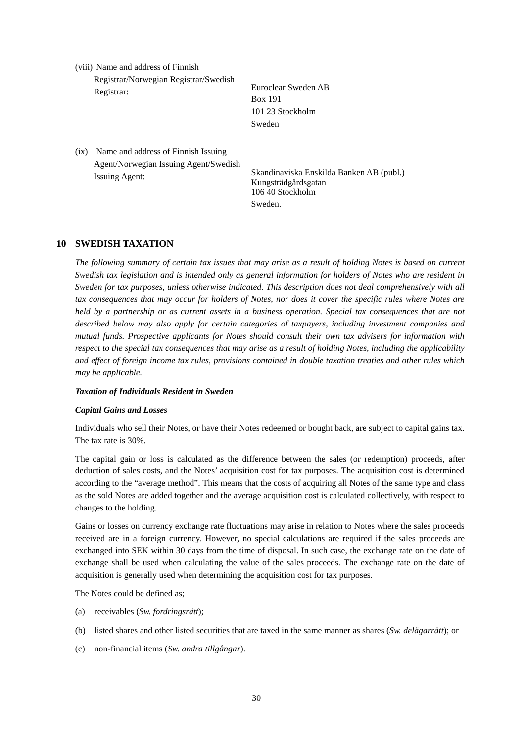(viii) Name and address of Finnish Registrar/Norwegian Registrar/Swedish Registrar: Euroclear Sweden AB

Box 191 101 23 Stockholm Sweden

(ix) Name and address of Finnish Issuing Agent/Norwegian Issuing Agent/Swedish

Issuing Agent: Skandinaviska Enskilda Banken AB (publ.) Kungsträdgårdsgatan 106 40 Stockholm Sweden.

# **10 SWEDISH TAXATION**

*The following summary of certain tax issues that may arise as a result of holding Notes is based on current Swedish tax legislation and is intended only as general information for holders of Notes who are resident in Sweden for tax purposes, unless otherwise indicated. This description does not deal comprehensively with all tax consequences that may occur for holders of Notes, nor does it cover the specific rules where Notes are held by a partnership or as current assets in a business operation. Special tax consequences that are not described below may also apply for certain categories of taxpayers, including investment companies and mutual funds. Prospective applicants for Notes should consult their own tax advisers for information with respect to the special tax consequences that may arise as a result of holding Notes, including the applicability and effect of foreign income tax rules, provisions contained in double taxation treaties and other rules which may be applicable.*

# *Taxation of Individuals Resident in Sweden*

# *Capital Gains and Losses*

Individuals who sell their Notes, or have their Notes redeemed or bought back, are subject to capital gains tax. The tax rate is 30%.

The capital gain or loss is calculated as the difference between the sales (or redemption) proceeds, after deduction of sales costs, and the Notes' acquisition cost for tax purposes. The acquisition cost is determined according to the "average method". This means that the costs of acquiring all Notes of the same type and class as the sold Notes are added together and the average acquisition cost is calculated collectively, with respect to changes to the holding.

Gains or losses on currency exchange rate fluctuations may arise in relation to Notes where the sales proceeds received are in a foreign currency. However, no special calculations are required if the sales proceeds are exchanged into SEK within 30 days from the time of disposal. In such case, the exchange rate on the date of exchange shall be used when calculating the value of the sales proceeds. The exchange rate on the date of acquisition is generally used when determining the acquisition cost for tax purposes.

The Notes could be defined as;

- (a) receivables (*Sw. fordringsrätt*);
- (b) listed shares and other listed securities that are taxed in the same manner as shares (*Sw. delägarrätt*); or
- (c) non-financial items (*Sw. andra tillgångar*).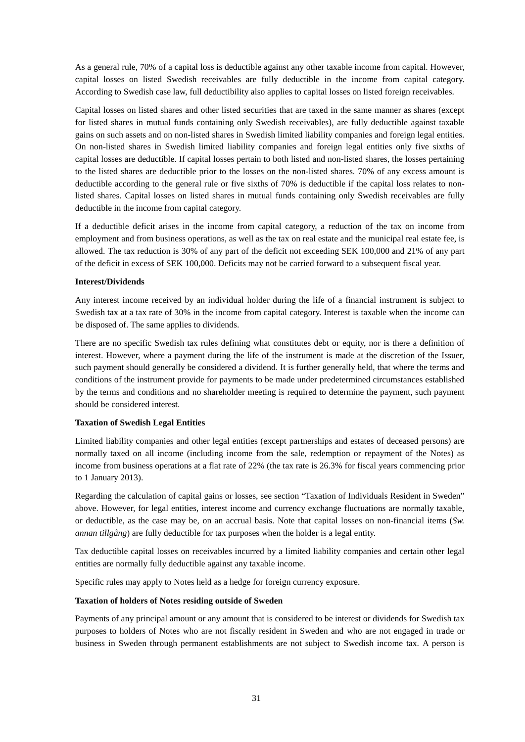As a general rule, 70% of a capital loss is deductible against any other taxable income from capital. However, capital losses on listed Swedish receivables are fully deductible in the income from capital category. According to Swedish case law, full deductibility also applies to capital losses on listed foreign receivables.

Capital losses on listed shares and other listed securities that are taxed in the same manner as shares (except for listed shares in mutual funds containing only Swedish receivables), are fully deductible against taxable gains on such assets and on non-listed shares in Swedish limited liability companies and foreign legal entities. On non-listed shares in Swedish limited liability companies and foreign legal entities only five sixths of capital losses are deductible. If capital losses pertain to both listed and non-listed shares, the losses pertaining to the listed shares are deductible prior to the losses on the non-listed shares. 70% of any excess amount is deductible according to the general rule or five sixths of 70% is deductible if the capital loss relates to nonlisted shares. Capital losses on listed shares in mutual funds containing only Swedish receivables are fully deductible in the income from capital category.

If a deductible deficit arises in the income from capital category, a reduction of the tax on income from employment and from business operations, as well as the tax on real estate and the municipal real estate fee, is allowed. The tax reduction is 30% of any part of the deficit not exceeding SEK 100,000 and 21% of any part of the deficit in excess of SEK 100,000. Deficits may not be carried forward to a subsequent fiscal year.

# **Interest/Dividends**

Any interest income received by an individual holder during the life of a financial instrument is subject to Swedish tax at a tax rate of 30% in the income from capital category. Interest is taxable when the income can be disposed of. The same applies to dividends.

There are no specific Swedish tax rules defining what constitutes debt or equity, nor is there a definition of interest. However, where a payment during the life of the instrument is made at the discretion of the Issuer, such payment should generally be considered a dividend. It is further generally held, that where the terms and conditions of the instrument provide for payments to be made under predetermined circumstances established by the terms and conditions and no shareholder meeting is required to determine the payment, such payment should be considered interest.

# **Taxation of Swedish Legal Entities**

Limited liability companies and other legal entities (except partnerships and estates of deceased persons) are normally taxed on all income (including income from the sale, redemption or repayment of the Notes) as income from business operations at a flat rate of 22% (the tax rate is 26.3% for fiscal years commencing prior to 1 January 2013).

Regarding the calculation of capital gains or losses, see section "Taxation of Individuals Resident in Sweden" above. However, for legal entities, interest income and currency exchange fluctuations are normally taxable, or deductible, as the case may be, on an accrual basis. Note that capital losses on non-financial items (*Sw. annan tillgång*) are fully deductible for tax purposes when the holder is a legal entity.

Tax deductible capital losses on receivables incurred by a limited liability companies and certain other legal entities are normally fully deductible against any taxable income.

Specific rules may apply to Notes held as a hedge for foreign currency exposure.

# **Taxation of holders of Notes residing outside of Sweden**

Payments of any principal amount or any amount that is considered to be interest or dividends for Swedish tax purposes to holders of Notes who are not fiscally resident in Sweden and who are not engaged in trade or business in Sweden through permanent establishments are not subject to Swedish income tax. A person is